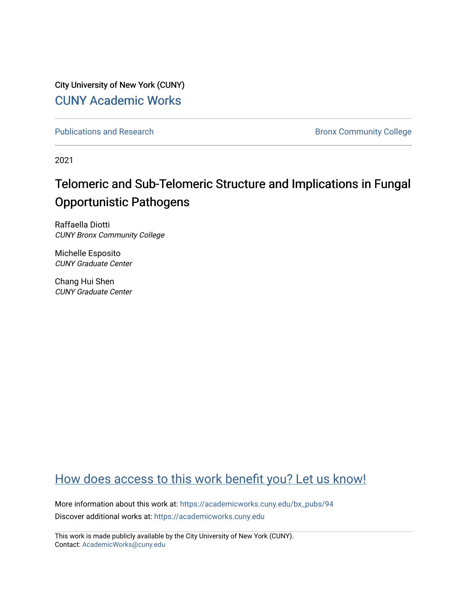City University of New York (CUNY) [CUNY Academic Works](https://academicworks.cuny.edu/) 

[Publications and Research](https://academicworks.cuny.edu/bx_pubs) **Bronx Community College** 

2021

## Telomeric and Sub-Telomeric Structure and Implications in Fungal Opportunistic Pathogens

Raffaella Diotti CUNY Bronx Community College

Michelle Esposito CUNY Graduate Center

Chang Hui Shen CUNY Graduate Center

### [How does access to this work benefit you? Let us know!](http://ols.cuny.edu/academicworks/?ref=https://academicworks.cuny.edu/bx_pubs/94)

More information about this work at: [https://academicworks.cuny.edu/bx\\_pubs/94](https://academicworks.cuny.edu/bx_pubs/94) Discover additional works at: [https://academicworks.cuny.edu](https://academicworks.cuny.edu/?)

This work is made publicly available by the City University of New York (CUNY). Contact: [AcademicWorks@cuny.edu](mailto:AcademicWorks@cuny.edu)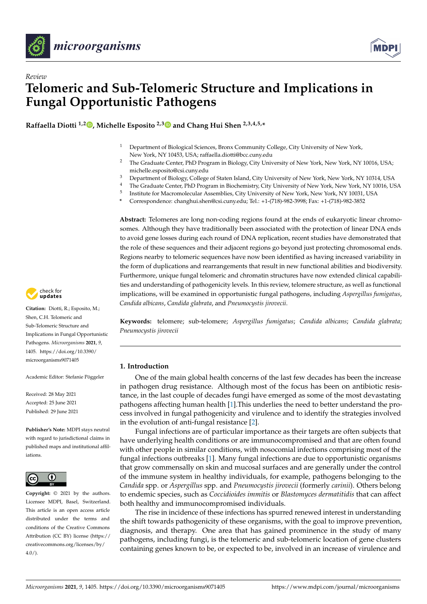



# **Telomeric and Sub-Telomeric Structure and Implications in Fungal Opportunistic Pathogens**

**Raffaella Diotti 1,[2](https://orcid.org/0000-0002-8294-6734) , Michelle Esposito 2,[3](https://orcid.org/0000-0002-9150-8664) and Chang Hui Shen 2,3,4,5,\***

- <sup>1</sup> Department of Biological Sciences, Bronx Community College, City University of New York, New York, NY 10453, USA; raffaella.diotti@bcc.cuny.edu
- <sup>2</sup> The Graduate Center, PhD Program in Biology, City University of New York, New York, NY 10016, USA; michelle.esposito@csi.cuny.edu
- <sup>3</sup> Department of Biology, College of Staten Island, City University of New York, New York, NY 10314, USA
- <sup>4</sup> The Graduate Center, PhD Program in Biochemistry, City University of New York, New York, NY 10016, USA
- 5 Institute for Macromolecular Assemblies, City University of New York, New York, NY 10031, USA
- **\*** Correspondence: changhui.shen@csi.cuny.edu; Tel.: +1-(718)-982-3998; Fax: +1-(718)-982-3852

**Abstract:** Telomeres are long non-coding regions found at the ends of eukaryotic linear chromosomes. Although they have traditionally been associated with the protection of linear DNA ends to avoid gene losses during each round of DNA replication, recent studies have demonstrated that the role of these sequences and their adjacent regions go beyond just protecting chromosomal ends. Regions nearby to telomeric sequences have now been identified as having increased variability in the form of duplications and rearrangements that result in new functional abilities and biodiversity. Furthermore, unique fungal telomeric and chromatin structures have now extended clinical capabilities and understanding of pathogenicity levels. In this review, telomere structure, as well as functional implications, will be examined in opportunistic fungal pathogens, including *Aspergillus fumigatus*, *Candida albicans*, *Candida glabrata*, and *Pneumocystis jirovecii*.

**Keywords:** telomere; sub-telomere; *Aspergillus fumigatus*; *Candida albicans*; *Candida glabrata*; *Pneumocystis jirovecii*

#### **1. Introduction**

One of the main global health concerns of the last few decades has been the increase in pathogen drug resistance. Although most of the focus has been on antibiotic resistance, in the last couple of decades fungi have emerged as some of the most devastating pathogens affecting human health [\[1\]](#page-15-0).This underlies the need to better understand the process involved in fungal pathogenicity and virulence and to identify the strategies involved in the evolution of anti-fungal resistance [\[2\]](#page-15-1).

Fungal infections are of particular importance as their targets are often subjects that have underlying health conditions or are immunocompromised and that are often found with other people in similar conditions, with nosocomial infections comprising most of the fungal infections outbreaks [\[1\]](#page-15-0). Many fungal infections are due to opportunistic organisms that grow commensally on skin and mucosal surfaces and are generally under the control of the immune system in healthy individuals, for example, pathogens belonging to the *Candida* spp. or *Aspergillus* spp. and *Pneumocystis jirovecii* (formerly *carinii*). Others belong to endemic species, such as *Coccidioides immitis* or *Blastomyces dermatitidis* that can affect both healthy and immunocompromised individuals.

The rise in incidence of these infections has spurred renewed interest in understanding the shift towards pathogenicity of these organisms, with the goal to improve prevention, diagnosis, and therapy. One area that has gained prominence in the study of many pathogens, including fungi, is the telomeric and sub-telomeric location of gene clusters containing genes known to be, or expected to be, involved in an increase of virulence and



*Review*

**Citation:** Diotti, R.; Esposito, M.; Shen, C.H. Telomeric and Sub-Telomeric Structure and Implications in Fungal Opportunistic Pathogens. *Microorganisms* **2021**, *9*, 1405. [https://doi.org/10.3390/](https://doi.org/10.3390/microorganisms9071405) [microorganisms9071405](https://doi.org/10.3390/microorganisms9071405)

Academic Editor: Stefanie Pöggeler

Received: 28 May 2021 Accepted: 25 June 2021 Published: 29 June 2021

**Publisher's Note:** MDPI stays neutral with regard to jurisdictional claims in published maps and institutional affiliations.



**Copyright:** © 2021 by the authors. Licensee MDPI, Basel, Switzerland. This article is an open access article distributed under the terms and conditions of the Creative Commons Attribution (CC BY) license (https:/[/](https://creativecommons.org/licenses/by/4.0/) [creativecommons.org/licenses/by/](https://creativecommons.org/licenses/by/4.0/)  $4.0/$ ).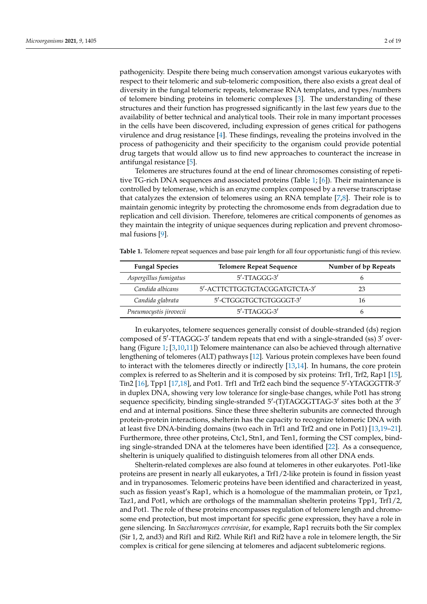pathogenicity. Despite there being much conservation amongst various eukaryotes with respect to their telomeric and sub-telomeric composition, there also exists a great deal of diversity in the fungal telomeric repeats, telomerase RNA templates, and types/numbers of telomere binding proteins in telomeric complexes [\[3\]](#page-15-2). The understanding of these structures and their function has progressed significantly in the last few years due to the availability of better technical and analytical tools. Their role in many important processes in the cells have been discovered, including expression of genes critical for pathogens virulence and drug resistance [\[4\]](#page-15-3). These findings, revealing the proteins involved in the process of pathogenicity and their specificity to the organism could provide potential drug targets that would allow us to find new approaches to counteract the increase in antifungal resistance [\[5\]](#page-15-4).

Telomeres are structures found at the end of linear chromosomes consisting of repetitive TG-rich DNA sequences and associated proteins (Table [1;](#page-2-0) [\[6\]](#page-15-5)). Their maintenance is controlled by telomerase, which is an enzyme complex composed by a reverse transcriptase that catalyzes the extension of telomeres using an RNA template [\[7](#page-15-6)[,8\]](#page-15-7). Their role is to maintain genomic integrity by protecting the chromosome ends from degradation due to replication and cell division. Therefore, telomeres are critical components of genomes as they maintain the integrity of unique sequences during replication and prevent chromosomal fusions [\[9\]](#page-15-8).

<span id="page-2-0"></span>

|  | Table 1. Telomere repeat sequences and base pair length for all four opportunistic fungi of this review. |  |  |  |  |  |
|--|----------------------------------------------------------------------------------------------------------|--|--|--|--|--|
|--|----------------------------------------------------------------------------------------------------------|--|--|--|--|--|

| <b>Fungal Species</b>  | <b>Telomere Repeat Sequence</b> | Number of bp Repeats |
|------------------------|---------------------------------|----------------------|
| Aspergillus fumigatus  | $5'$ -TTAGGG-3'                 |                      |
| Candida albicans       | 5'-ACTTCTTGGTGTACGGATGTCTA-3'   | 23                   |
| Candida glabrata       | 5'-CTGGGTGCTGTGGGGT-3'          | 16                   |
| Pneumocystis jirovecii | $5'$ -TTAGGG-3'                 |                      |

In eukaryotes, telomere sequences generally consist of double-stranded (ds) region composed of 5'-TTAGGG-3' tandem repeats that end with a single-stranded (ss) 3' overhang (Figure [1;](#page-3-0) [\[3,](#page-15-2)[10,](#page-15-9)[11\]](#page-15-10)) Telomere maintenance can also be achieved through alternative lengthening of telomeres (ALT) pathways [\[12\]](#page-15-11). Various protein complexes have been found to interact with the telomeres directly or indirectly [\[13,](#page-15-12)[14\]](#page-15-13). In humans, the core protein complex is referred to as Shelterin and it is composed by six proteins: Trf1, Trf2, Rap1 [\[15\]](#page-15-14), Tin2 [\[16\]](#page-15-15), Tpp1 [\[17,](#page-16-0)[18\]](#page-16-1), and Pot1. Trf1 and Trf2 each bind the sequence 5'-YTAGGGTTR-3' in duplex DNA, showing very low tolerance for single-base changes, while Pot1 has strong sequence specificity, binding single-stranded  $5'$ -(T)TAGGGTTAG-3' sites both at the 3' end and at internal positions. Since these three shelterin subunits are connected through protein-protein interactions, shelterin has the capacity to recognize telomeric DNA with at least five DNA-binding domains (two each in Trf1 and Trf2 and one in Pot1) [\[13](#page-15-12)[,19](#page-16-2)[–21\]](#page-16-3). Furthermore, three other proteins, Ctc1, Stn1, and Ten1, forming the CST complex, binding single-stranded DNA at the telomeres have been identified [\[22\]](#page-16-4). As a consequence, shelterin is uniquely qualified to distinguish telomeres from all other DNA ends.

Shelterin-related complexes are also found at telomeres in other eukaryotes. Pot1-like proteins are present in nearly all eukaryotes, a Trf1/2-like protein is found in fission yeast and in trypanosomes. Telomeric proteins have been identified and characterized in yeast, such as fission yeast's Rap1, which is a homologue of the mammalian protein, or Tpz1, Taz1, and Pot1, which are orthologs of the mammalian shelterin proteins Tpp1, Trf1/2, and Pot1. The role of these proteins encompasses regulation of telomere length and chromosome end protection, but most important for specific gene expression, they have a role in gene silencing. In *Saccharomyces cerevisiae*, for example, Rap1 recruits both the Sir complex (Sir 1, 2, and3) and Rif1 and Rif2. While Rif1 and Rif2 have a role in telomere length, the Sir complex is critical for gene silencing at telomeres and adjacent subtelomeric regions.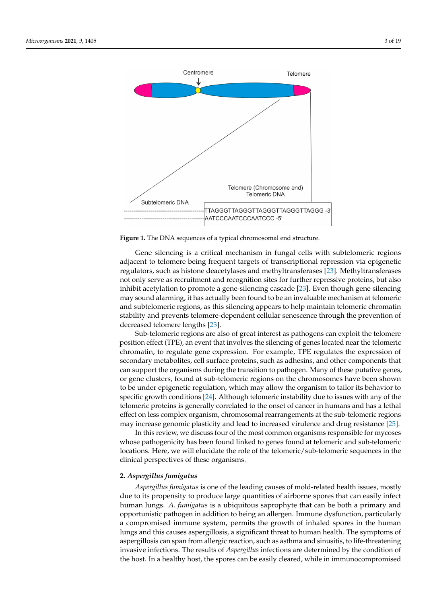<span id="page-3-0"></span>

**Figure 1.** The DNA sequences of a typical chromosomal end structure. **Figure 1.** The DNA sequences of a typical chromosomal end structure.

Gene silencing is a critical mechanism in fungal cells with subtelomeric regions adjacent to telomere being frequent targets of transcriptional repression via epigenetic regulators, such as histone deacetylases and methyltransferases [\[23\]](#page-16-5). Methyltransferases not only serve as recruitment and recognition sites for further repressive proteins, but also inhibit acetylation to promote a gene-silencing cascade [\[23\]](#page-16-5). Even though gene silencing may sound alarming, it has actually been found to be an invaluable mechanism at telomeric and subtelomeric regions, as this silencing appears to help maintain telomeric chromatin stability and prevents telomere-dependent cellular senescence through the prevention of decreased telomere lengths [\[23\]](#page-16-5).

Sub-telomeric regions are also of great interest as pathogens can exploit the telomere position effect (TPE), an event that involves the silencing of genes located near the telomeric chromatin, to regulate gene expression. For example, TPE regulates the expression of secondary metabolites, cell surface proteins, such as adhesins, and other components that can support the organisms during the transition to pathogen. Many of these putative genes, or gene clusters, found at sub-telomeric regions on the chromosomes have been shown to be under epigenetic regulation, which may allow the organism to tailor its behavior to specific growth conditions [\[24\]](#page-16-6). Although telomeric instability due to issues with any of the telomeric proteins is generally correlated to the onset of cancer in humans and has a lethal effect on less complex organism, chromosomal rearrangements at the sub-telomeric regions<br>
effect may increase genomic plasticity and lead to increased virulence and drug resistance [\[25\]](#page-16-7).

In this review, we discuss four of the most common organisms responsible for mycoses whose pathogenicity has been found linked to genes found at telomeric and sub-telomeric<br>whose pathogenicity has been found linked to genes found at telomeric and sub-telomeric locations. Here, we will elucidate the role of the telomeric/sub-telomeric sequences in the expression of the regulators of the regulators. clinical perspectives of these organisms.

### that can support the organisms during the transition to pathogen. Many of these putative **2.** *Aspergillus fumigatus*

*Aspergillus fumigatus* is one of the leading causes of mold-related health issues, mostly In the unit may allow to be under the matter of airborne spores that can easily infect due to its propensity to produce large quantities of airborne spores that can easily infect although the properties of procedure image quantities of uncomercipated that can be soft a primary and human lungs. *A. fumigatus* is a ubiquitous saprophyte that can be both a primary and opportunistic pathogen in addition to being an allergen. Immune dysfunction, particularly and opportunistic pathogen in addition to being an allergen. Immune dysfunction, particularly a compromised immune system, permits the growth of inhaled spores in the human at the sub-If you plasticity materials by some plasticity and governor of manifest oppose the the channel. aspergillosis can span from allergic reaction, such as asthma and sinusitis, to life-threatening invasive infections. The results of *Aspergillus* infections are determined by the condition of the host. In a healthy host, the spores can be easily cleared, while in immunocompromised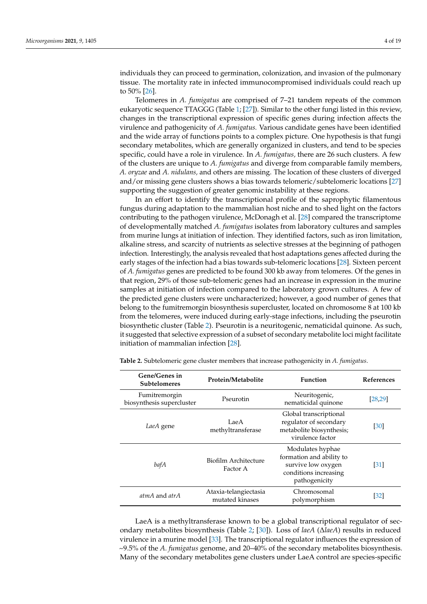individuals they can proceed to germination, colonization, and invasion of the pulmonary tissue. The mortality rate in infected immunocompromised individuals could reach up to 50% [\[26\]](#page-16-8).

Telomeres in *A. fumigatus* are comprised of 7–21 tandem repeats of the common eukaryotic sequence TTAGGG (Table [1;](#page-2-0) [\[27\]](#page-16-9)). Similar to the other fungi listed in this review, changes in the transcriptional expression of specific genes during infection affects the virulence and pathogenicity of *A. fumigatus.* Various candidate genes have been identified and the wide array of functions points to a complex picture. One hypothesis is that fungi secondary metabolites, which are generally organized in clusters, and tend to be species specific, could have a role in virulence. In *A. fumigatus,* there are 26 such clusters. A few of the clusters are unique to *A. fumigatus* and diverge from comparable family members, *A. oryzae* and *A. nidulans,* and others are missing. The location of these clusters of diverged and/or missing gene clusters shows a bias towards telomeric/subtelomeric locations [\[27\]](#page-16-9) supporting the suggestion of greater genomic instability at these regions.

In an effort to identify the transcriptional profile of the saprophytic filamentous fungus during adaptation to the mammalian host niche and to shed light on the factors contributing to the pathogen virulence, McDonagh et al. [\[28\]](#page-16-10) compared the transcriptome of developmentally matched *A. fumigatus* isolates from laboratory cultures and samples from murine lungs at initiation of infection. They identified factors, such as iron limitation, alkaline stress, and scarcity of nutrients as selective stresses at the beginning of pathogen infection. Interestingly, the analysis revealed that host adaptations genes affected during the early stages of the infection had a bias towards sub-telomeric locations [\[28\]](#page-16-10). Sixteen percent of *A. fumigatus* genes are predicted to be found 300 kb away from telomeres. Of the genes in that region, 29% of those sub-telomeric genes had an increase in expression in the murine samples at initiation of infection compared to the laboratory grown cultures. A few of the predicted gene clusters were uncharacterized; however, a good number of genes that belong to the fumitremorgin biosynthesis supercluster, located on chromosome 8 at 100 kb from the telomeres, were induced during early-stage infections, including the pseurotin biosynthetic cluster (Table [2\)](#page-4-0). Pseurotin is a neuritogenic, nematicidal quinone. As such, it suggested that selective expression of a subset of secondary metabolite loci might facilitate initiation of mammalian infection [\[28\]](#page-16-10).

| Gene/Genes in<br><b>Subtelomeres</b>       | Protein/Metabolite                       | <b>Function</b>                                                                                              | <b>References</b> |
|--------------------------------------------|------------------------------------------|--------------------------------------------------------------------------------------------------------------|-------------------|
| Fumitremorgin<br>biosynthesis supercluster | Pseurotin                                | Neuritogenic,<br>nematicidal quinone                                                                         | [28, 29]          |
| LaeA gene                                  | LaeA<br>methyltransferase                | Global transcriptional<br>regulator of secondary<br>metabolite biosynthesis;<br>virulence factor             | [30]              |
| bafA                                       | Biofilm Architecture<br>Factor A         | Modulates hyphae<br>formation and ability to<br>survive low oxygen<br>conditions increasing<br>pathogenicity | $\left[31\right]$ |
| atmA and atrA                              | Ataxia-telangiectasia<br>mutated kinases | Chromosomal<br>polymorphism                                                                                  | $[32]$            |

<span id="page-4-0"></span>**Table 2.** Subtelomeric gene cluster members that increase pathogenicity in *A. fumigatus*.

LaeA is a methyltransferase known to be a global transcriptional regulator of secondary metabolites biosynthesis (Table [2;](#page-4-0) [\[30\]](#page-16-12)). Loss of *laeA* (∆*laeA*) results in reduced virulence in a murine model [\[33\]](#page-16-15). The transcriptional regulator influences the expression of ~9.5% of the *A. fumigatus* genome, and 20–40% of the secondary metabolites biosynthesis. Many of the secondary metabolites gene clusters under LaeA control are species-specific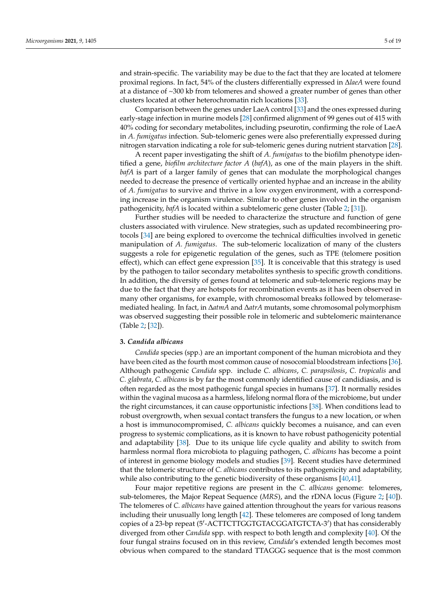and strain-specific. The variability may be due to the fact that they are located at telomere proximal regions. In fact, 54% of the clusters differentially expressed in ∆*laeA* were found at a distance of ~300 kb from telomeres and showed a greater number of genes than other clusters located at other heterochromatin rich locations [\[33\]](#page-16-15).

Comparison between the genes under LaeA control [\[33\]](#page-16-15) and the ones expressed during early-stage infection in murine models [\[28\]](#page-16-10) confirmed alignment of 99 genes out of 415 with 40% coding for secondary metabolites, including pseurotin, confirming the role of LaeA in *A. fumigatus* infection. Sub-telomeric genes were also preferentially expressed during nitrogen starvation indicating a role for sub-telomeric genes during nutrient starvation [\[28\]](#page-16-10).

A recent paper investigating the shift of *A. fumigatus* to the biofilm phenotype identified a gene, *biofilm architecture factor A* (*bafA*), as one of the main players in the shift. *bafA* is part of a larger family of genes that can modulate the morphological changes needed to decrease the presence of vertically oriented hyphae and an increase in the ability of *A. fumigatus* to survive and thrive in a low oxygen environment, with a corresponding increase in the organism virulence. Similar to other genes involved in the organism pathogenicity, *bafA* is located within a subtelomeric gene cluster (Table [2;](#page-4-0) [\[31\]](#page-16-13)).

Further studies will be needed to characterize the structure and function of gene clusters associated with virulence. New strategies, such as updated recombineering protocols [\[34\]](#page-16-16) are being explored to overcome the technical difficulties involved in genetic manipulation of *A. fumigatus*. The sub-telomeric localization of many of the clusters suggests a role for epigenetic regulation of the genes, such as TPE (telomere position effect), which can effect gene expression [\[35\]](#page-16-17). It is conceivable that this strategy is used by the pathogen to tailor secondary metabolites synthesis to specific growth conditions. In addition, the diversity of genes found at telomeric and sub-telomeric regions may be due to the fact that they are hotspots for recombination events as it has been observed in many other organisms, for example, with chromosomal breaks followed by telomerasemediated healing. In fact, in ∆*atmA* and ∆*atrA* mutants, some chromosomal polymorphism was observed suggesting their possible role in telomeric and subtelomeric maintenance (Table [2;](#page-4-0) [\[32\]](#page-16-14)).

#### **3.** *Candida albicans*

*Candida* species (spp.) are an important component of the human microbiota and they have been cited as the fourth most common cause of nosocomial bloodstream infections [\[36\]](#page-16-18). Although pathogenic *Candida* spp. include *C. albicans*, *C. parapsilosis*, *C. tropicalis* and *C. glabrata*, *C. albicans* is by far the most commonly identified cause of candidiasis, and is often regarded as the most pathogenic fungal species in humans [\[37\]](#page-16-19). It normally resides within the vaginal mucosa as a harmless, lifelong normal flora of the microbiome, but under the right circumstances, it can cause opportunistic infections [\[38\]](#page-16-20). When conditions lead to robust overgrowth, when sexual contact transfers the fungus to a new location, or when a host is immunocompromised, *C. albicans* quickly becomes a nuisance, and can even progress to systemic complications, as it is known to have robust pathogenicity potential and adaptability [\[38\]](#page-16-20). Due to its unique life cycle quality and ability to switch from harmless normal flora microbiota to plaguing pathogen, *C. albicans* has become a point of interest in genome biology models and studies [\[39\]](#page-16-21). Recent studies have determined that the telomeric structure of *C. albicans* contributes to its pathogenicity and adaptability, while also contributing to the genetic biodiversity of these organisms [\[40](#page-16-22)[,41\]](#page-16-23).

Four major repetitive regions are present in the *C. albicans* genome: telomeres, sub-telomeres, the Major Repeat Sequence (*MRS*), and the rDNA locus (Figure [2;](#page-6-0) [\[40\]](#page-16-22)). The telomeres of *C. albicans* have gained attention throughout the years for various reasons including their unusually long length [\[42\]](#page-16-24). These telomeres are composed of long tandem copies of a 23-bp repeat (5'-ACTTCTTGGTGTACGGATGTCTA-3') that has considerably diverged from other *Candida* spp. with respect to both length and complexity [\[40\]](#page-16-22). Of the four fungal strains focused on in this review, *Candida*'s extended length becomes most obvious when compared to the standard TTAGGG sequence that is the most common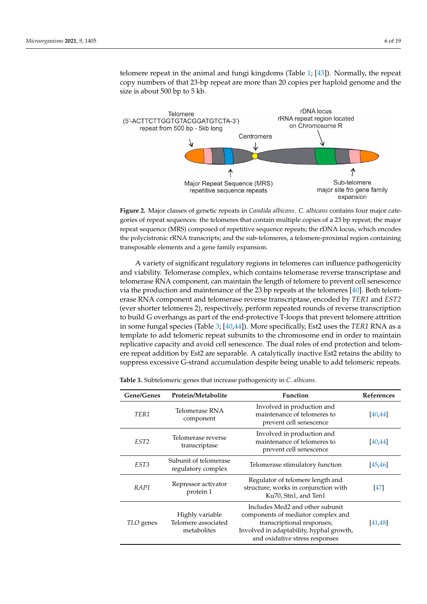telomere repeat in the animal and fungi kingdoms (Table 1; [\[43\]](#page-16-25)). Normally, the repeat telomere repeat in the animal and fungi kingdoms [\(T](#page-2-0)able 1; [43]). Normally, the repeat copy numbers of that 23-bp repeat are more than 20 copies per haploid genome and the size is about 500 bp to 5 kb. size is about 500 bp to 5 kb.

<span id="page-6-0"></span>

Figure 2. Major classes of genetic repeats in Candida albicans. C. albicans contains four major categories of repeat sequences: the telomeres that contain multiple copies of a 23 bp repeat; the major repeat sequence (MRS) composed of repetitive sequence repeats; the rDNA locus, which encodes repeat sequence (MRS) composed of repetitive sequence repeats; the rDNA locus, which encodes the polycistronic rRNA transcripts; and the sub-telomeres, a telomere-proximal region containing the polycistronic rRNA transcripts; and the sub-telomeres, a telomere-proximal region containing transposable elements and a gene family expansion. transposable elements and a gene family expansion.

A variety of significant regulatory regions in telomeres can influence pathogenicity A variety of significant regulatory regions in telomeres can influence pathogenicity and viability. Telomerase complex, which contains telomerase reverse transcriptase and and viability. Telomerase complex, which contains telomerase reverse transcriptase and reformerase RNA component, can maintain the length of telomere to prevent cell senescence via the production and maintenance of the 23 bp repeats at the telomeres [\[40\]](#page-16-22). Both telomcence via the production and maintenance of the 23 bp repeats at the telomeres [40]. Both erase RNA component and telomerase reverse transcriptase, encoded by *TER1* and *EST2* (ever shorter telomeres 2), respectively, perform repeated rounds of reverse transcription to build G overhangs as part of the end-protective T-loops that prevent telomere attrition in some fungal species (Table 3; [40,44]). More specifically, Est2 uses the *TER1* RNA as a template to add telomeric repeat subunits to the chromosome end in order to maintain replicative capacity and avoid cell senescence. The dual roles of end protection and telomere repeat addition by Est2 are separable. A catalytically inactive Est2 retains the ability to  $\epsilon$ suppress excessive G-strand accumulation despite being unable to add telomeric repeats. telomerase RNA component, can maintain the length of telomere to prevent cell senescence

| Gene/Genes       | Protein/Metabolite                                    | <b>Function</b>                                                                                                                                                                   | References |
|------------------|-------------------------------------------------------|-----------------------------------------------------------------------------------------------------------------------------------------------------------------------------------|------------|
| TER1             | Telomerase RNA<br>component                           | Involved in production and<br>maintenance of telomeres to<br>prevent cell senescence                                                                                              | [40, 44]   |
| EST <sub>2</sub> | Telomerase reverse<br>transcriptase                   | Involved in production and<br>maintenance of telomeres to<br>prevent cell senescence                                                                                              | [40, 44]   |
| EST3             | Subunit of telomerase<br>regulatory complex           | Telomerase stimulatory function                                                                                                                                                   | [45, 46]   |
| RAP1             | Repressor activator<br>protein 1                      | Regulator of telomere length and<br>structure; works in conjunction with<br>Ku70, Stn1, and Ten1                                                                                  | $[47]$     |
| TLO genes        | Highly variable<br>Telomere associated<br>metabolites | Includes Med2 and other subunit<br>components of mediator complex and<br>transcriptional responses;<br>Involved in adaptability, hyphal growth,<br>and oxidative stress responses | [41, 48]   |

<span id="page-6-1"></span>Table 3. Subtelomeric genes that increase pathogenicity in *C. albicans*.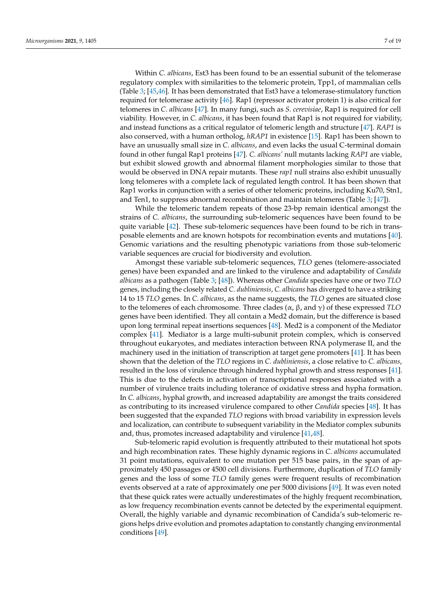Within *C. albicans*, Est3 has been found to be an essential subunit of the telomerase regulatory complex with similarities to the telomeric protein, Tpp1, of mammalian cells (Table [3;](#page-6-1) [\[45,](#page-17-0)[46\]](#page-17-1). It has been demonstrated that Est3 have a telomerase-stimulatory function required for telomerase activity [\[46\]](#page-17-1). Rap1 (repressor activator protein 1) is also critical for telomeres in *C. albicans* [\[47\]](#page-17-2). In many fungi, such as *S. cerevisiae*, Rap1 is required for cell viability. However, in *C. albicans*, it has been found that Rap1 is not required for viability, and instead functions as a critical regulator of telomeric length and structure [\[47\]](#page-17-2). *RAP1* is also conserved, with a human ortholog, *hRAP1* in existence [\[15\]](#page-15-14). Rap1 has been shown to have an unusually small size in *C. albicans*, and even lacks the usual C-terminal domain found in other fungal Rap1 proteins [\[47\]](#page-17-2). *C. albicans'* null mutants lacking *RAP1* are viable, but exhibit slowed growth and abnormal filament morphologies similar to those that would be observed in DNA repair mutants. These *rap1* null strains also exhibit unusually long telomeres with a complete lack of regulated length control. It has been shown that Rap1 works in conjunction with a series of other telomeric proteins, including Ku70, Stn1, and Ten1, to suppress abnormal recombination and maintain telomeres (Table [3;](#page-6-1) [\[47\]](#page-17-2)).

While the telomeric tandem repeats of those 23-bp remain identical amongst the strains of *C. albicans*, the surrounding sub-telomeric sequences have been found to be quite variable [\[42\]](#page-16-24). These sub-telomeric sequences have been found to be rich in transposable elements and are known hotspots for recombination events and mutations [\[40\]](#page-16-22). Genomic variations and the resulting phenotypic variations from those sub-telomeric variable sequences are crucial for biodiversity and evolution.

Amongst these variable sub-telomeric sequences, *TLO* genes (telomere-associated genes) have been expanded and are linked to the virulence and adaptability of *Candida albicans* as a pathogen (Table [3;](#page-6-1) [\[48\]](#page-17-3)). Whereas other *Candida* species have one or two *TLO* genes, including the closely related *C. dubliniensis*, *C. albicans* has diverged to have a striking 14 to 15 *TLO* genes. In *C. albicans*, as the name suggests, the *TLO* genes are situated close to the telomeres of each chromosome. Three clades (α, β, and γ) of these expressed *TLO* genes have been identified. They all contain a Med2 domain, but the difference is based upon long terminal repeat insertions sequences [\[48\]](#page-17-3). Med2 is a component of the Mediator complex [\[41\]](#page-16-23). Mediator is a large multi-subunit protein complex, which is conserved throughout eukaryotes, and mediates interaction between RNA polymerase II, and the machinery used in the initiation of transcription at target gene promoters [\[41\]](#page-16-23). It has been shown that the deletion of the *TLO* regions in *C. dubliniensis*, a close relative to *C. albicans*, resulted in the loss of virulence through hindered hyphal growth and stress responses [\[41\]](#page-16-23). This is due to the defects in activation of transcriptional responses associated with a number of virulence traits including tolerance of oxidative stress and hypha formation. In *C. albicans*, hyphal growth, and increased adaptability are amongst the traits considered as contributing to its increased virulence compared to other *Candida* species [\[48\]](#page-17-3). It has been suggested that the expanded *TLO* regions with broad variability in expression levels and localization, can contribute to subsequent variability in the Mediator complex subunits and, thus, promotes increased adaptability and virulence [\[41,](#page-16-23)[48\]](#page-17-3).

Sub-telomeric rapid evolution is frequently attributed to their mutational hot spots and high recombination rates. These highly dynamic regions in *C. albicans* accumulated 31 point mutations, equivalent to one mutation per 515 base pairs, in the span of approximately 450 passages or 4500 cell divisions. Furthermore, duplication of *TLO* family genes and the loss of some *TLO* family genes were frequent results of recombination events observed at a rate of approximately one per 5000 divisions [\[49\]](#page-17-4). It was even noted that these quick rates were actually underestimates of the highly frequent recombination, as low frequency recombination events cannot be detected by the experimental equipment. Overall, the highly variable and dynamic recombination of Candida's sub-telomeric regions helps drive evolution and promotes adaptation to constantly changing environmental conditions [\[49\]](#page-17-4).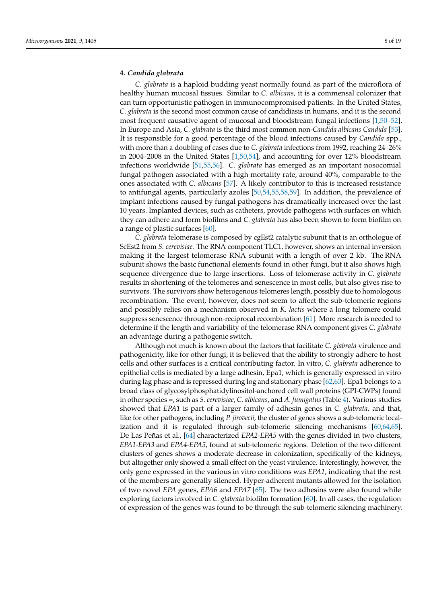#### **4.** *Candida glabrata*

*C. glabrata* is a haploid budding yeast normally found as part of the microflora of healthy human mucosal tissues. Similar to *C. albicans,* it is a commensal colonizer that can turn opportunistic pathogen in immunocompromised patients. In the United States, *C. glabrata* is the second most common cause of candidiasis in humans, and it is the second most frequent causative agent of mucosal and bloodstream fungal infections [\[1,](#page-15-0)[50](#page-17-5)[–52\]](#page-17-6). In Europe and Asia, *C. glabrata* is the third most common non-*Candida albicans Candida* [\[53\]](#page-17-7). It is responsible for a good percentage of the blood infections caused by *Candida* spp., with more than a doubling of cases due to *C. glabrata* infections from 1992, reaching 24–26% in 2004–2008 in the United States [\[1](#page-15-0)[,50](#page-17-5)[,54\]](#page-17-8), and accounting for over 12% bloodstream infections worldwide [\[51](#page-17-9)[,55](#page-17-10)[,56\]](#page-17-11). *C. glabrata* has emerged as an important nosocomial fungal pathogen associated with a high mortality rate, around 40%, comparable to the ones associated with *C. albicans* [\[57\]](#page-17-12). A likely contributor to this is increased resistance to antifungal agents, particularly azoles [\[50](#page-17-5)[,54](#page-17-8)[,55](#page-17-10)[,58](#page-17-13)[,59\]](#page-17-14). In addition, the prevalence of implant infections caused by fungal pathogens has dramatically increased over the last 10 years. Implanted devices, such as catheters, provide pathogens with surfaces on which they can adhere and form biofilms and *C. glabrata* has also been shown to form biofilm on a range of plastic surfaces [\[60\]](#page-17-15).

*C. glabrata* telomerase is composed by cgEst2 catalytic subunit that is an orthologue of ScEst2 from *S. cerevisiae.* The RNA component TLC1, however, shows an internal inversion making it the largest telomerase RNA subunit with a length of over 2 kb. The RNA subunit shows the basic functional elements found in other fungi, but it also shows high sequence divergence due to large insertions. Loss of telomerase activity in *C. glabrata* results in shortening of the telomeres and senescence in most cells, but also gives rise to survivors. The survivors show heterogenous telomeres length, possibly due to homologous recombination. The event, however, does not seem to affect the sub-telomeric regions and possibly relies on a mechanism observed in *K. lactis* where a long telomere could suppress senescence through non-reciprocal recombination [\[61\]](#page-17-16). More research is needed to determine if the length and variability of the telomerase RNA component gives *C. glabrata* an advantage during a pathogenic switch.

Although not much is known about the factors that facilitate *C. glabrata* virulence and pathogenicity, like for other fungi, it is believed that the ability to strongly adhere to host cells and other surfaces is a critical contributing factor. In vitro, *C. glabrata* adherence to epithelial cells is mediated by a large adhesin, Epa1, which is generally expressed in vitro during lag phase and is repressed during log and stationary phase [\[62](#page-17-17)[,63\]](#page-17-18). Epa1 belongs to a broad class of glycosylphosphatidylinositol-anchored cell wall proteins (GPI-CWPs) found in other species =, such as *S. cerevisiae*, *C. albicans*, and *A. fumigatus* (Table [4\)](#page-9-0). Various studies showed that *EPA1* is part of a larger family of adhesin genes in *C. glabrata,* and that, like for other pathogens, including *P. jirovecii,* the cluster of genes shows a sub-telomeric localization and it is regulated through sub-telomeric silencing mechanisms [\[60,](#page-17-15)[64,](#page-17-19)[65\]](#page-17-20). De Las Peñas et al., [\[64\]](#page-17-19) characterized *EPA2*-*EPA5* with the genes divided in two clusters, *EPA1*-*EPA3* and *EPA4*-*EPA5*, found at sub-telomeric regions. Deletion of the two different clusters of genes shows a moderate decrease in colonization, specifically of the kidneys, but altogether only showed a small effect on the yeast virulence. Interestingly, however, the only gene expressed in the various in vitro conditions was *EPA1*, indicating that the rest of the members are generally silenced. Hyper-adherent mutants allowed for the isolation of two novel *EPA* genes, *EPA6* and *EPA7* [\[65\]](#page-17-20). The two adhesins were also found while exploring factors involved in *C. glabrata* biofilm formation [\[60\]](#page-17-15). In all cases, the regulation of expression of the genes was found to be through the sub-telomeric silencing machinery.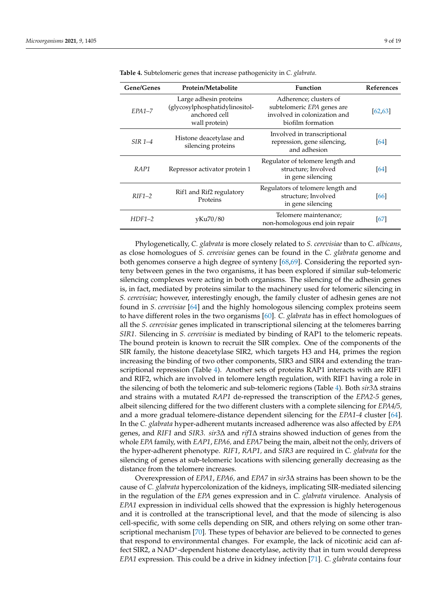| Gene/Genes | Protein/Metabolite                                                                         | Function                                                                                                  | <b>References</b> |
|------------|--------------------------------------------------------------------------------------------|-----------------------------------------------------------------------------------------------------------|-------------------|
| $EPA1-7$   | Large adhesin proteins<br>(glycosylphosphatidylinositol-<br>anchored cell<br>wall protein) | Adherence; clusters of<br>subtelomeric EPA genes are<br>involved in colonization and<br>biofilm formation | [62, 63]          |
| $SIR$ 1-4  | Histone deacetylase and<br>silencing proteins                                              | Involved in transcriptional<br>repression, gene silencing,<br>and adhesion                                | <b>64</b>         |
| RAP1       | Repressor activator protein 1                                                              | Regulator of telomere length and<br>structure; Involved<br>in gene silencing                              | 64                |
| $RIF1-2$   | Rif1 and Rif2 regulatory<br>Proteins                                                       | Regulators of telomere length and<br>structure; Involved<br>in gene silencing                             | [66]              |
| $HDF1-2$   | yKu70/80                                                                                   | Telomere maintenance;<br>non-homologous end join repair                                                   | [67]              |

<span id="page-9-0"></span>**Table 4.** Subtelomeric genes that increase pathogenicity in *C. glabrata*.

Phylogenetically, *C. glabrata* is more closely related to *S. cerevisiae* than to *C. albicans*, as close homologues of *S. cerevisiae* genes can be found in the *C. glabrata* genome and both genomes conserve a high degree of synteny [\[68,](#page-17-23)[69\]](#page-18-0). Considering the reported synteny between genes in the two organisms, it has been explored if similar sub-telomeric silencing complexes were acting in both organisms. The silencing of the adhesin genes is, in fact, mediated by proteins similar to the machinery used for telomeric silencing in *S. cerevisiae;* however, interestingly enough, the family cluster of adhesin genes are not found in *S. cerevisiae* [\[64\]](#page-17-19) and the highly homologous silencing complex proteins seem to have different roles in the two organisms [\[60\]](#page-17-15). *C. glabrata* has in effect homologues of all the *S. cerevisiae* genes implicated in transcriptional silencing at the telomeres barring *SIR1*. Silencing in *S. cerevisiae* is mediated by binding of RAP1 to the telomeric repeats. The bound protein is known to recruit the SIR complex. One of the components of the SIR family, the histone deacetylase SIR2, which targets H3 and H4, primes the region increasing the binding of two other components, SIR3 and SIR4 and extending the transcriptional repression (Table [4\)](#page-9-0). Another sets of proteins RAP1 interacts with are RIF1 and RIF2, which are involved in telomere length regulation, with RIF1 having a role in the silencing of both the telomeric and sub-telomeric regions (Table [4\)](#page-9-0). Both *sir3*∆ strains and strains with a mutated *RAP1* de-repressed the transcription of the *EPA2-5* genes, albeit silencing differed for the two different clusters with a complete silencing for *EPA4/5,* and a more gradual telomere-distance dependent silencing for the *EPA1-4* cluster [\[64\]](#page-17-19). In the *C. glabrata* hyper-adherent mutants increased adherence was also affected by *EPA* genes, and *RIF1* and *SIR3*. *sir3*∆ and *rif1*∆ strains showed induction of genes from the whole *EPA* family, with *EAP1*, *EPA6,* and *EPA7* being the main, albeit not the only, drivers of the hyper-adherent phenotype. *RIF1*, *RAP1,* and *SIR3* are required in *C. glabrata* for the silencing of genes at sub-telomeric locations with silencing generally decreasing as the distance from the telomere increases.

Overexpression of *EPA1*, *EPA6,* and *EPA7* in *sir3*∆ strains has been shown to be the cause of *C. glabrata* hypercolonization of the kidneys, implicating SIR-mediated silencing in the regulation of the *EPA* genes expression and in *C. glabrata* virulence. Analysis of *EPA1* expression in individual cells showed that the expression is highly heterogenous and it is controlled at the transcriptional level, and that the mode of silencing is also cell-specific, with some cells depending on SIR, and others relying on some other transcriptional mechanism [\[70\]](#page-18-1). These types of behavior are believed to be connected to genes that respond to environmental changes. For example, the lack of nicotinic acid can affect SIR2, a NAD<sup>+</sup>-dependent histone deacetylase, activity that in turn would derepress *EPA1* expression. This could be a drive in kidney infection [\[71\]](#page-18-2). *C. glabrata* contains four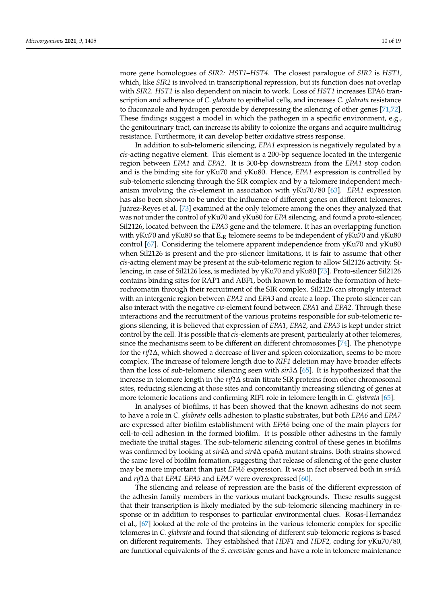more gene homologues of *SIR2: HST1*–*HST4*. The closest paralogue of *SIR2* is *HST1,* which, like *SIR2* is involved in transcriptional repression, but its function does not overlap with *SIR2. HST1* is also dependent on niacin to work. Loss of *HST1* increases EPA6 transcription and adherence of *C. glabrata* to epithelial cells, and increases *C. glabrata* resistance to fluconazole and hydrogen peroxide by derepressing the silencing of other genes [\[71](#page-18-2)[,72\]](#page-18-3). These findings suggest a model in which the pathogen in a specific environment, e.g., the genitourinary tract, can increase its ability to colonize the organs and acquire multidrug resistance. Furthermore, it can develop better oxidative stress response.

In addition to sub-telomeric silencing, *EPA1* expression is negatively regulated by a *cis*-acting negative element. This element is a 200-bp sequence located in the intergenic region between *EPA1* and *EPA2*. It is 300-bp downstream from the *EPA1* stop codon and is the binding site for yKu70 and yKu80. Hence, *EPA1* expression is controlled by sub-telomeric silencing through the SIR complex and by a telomere independent mechanism involving the *cis*-element in association with yKu70/80 [\[63\]](#page-17-18). *EPA1* expression has also been shown to be under the influence of different genes on different telomeres. Juárez-Reyes et al. [\[73\]](#page-18-4) examined at the only telomere among the ones they analyzed that was not under the control of yKu70 and yKu80 for *EPA* silencing, and found a proto-silencer, Sil2126, located between the *EPA3* gene and the telomere. It has an overlapping function with yKu70 and yKu80 so that  $E_R$  telomere seems to be independent of yKu70 and yKu80 control [\[67\]](#page-17-22). Considering the telomere apparent independence from yKu70 and yKu80 when Sil2126 is present and the pro-silencer limitations, it is fair to assume that other *cis*-acting element may be present at the sub-telomeric region to allow Sil2126 activity. Silencing, in case of Sil2126 loss, is mediated by yKu70 and yKu80 [\[73\]](#page-18-4). Proto-silencer Sil2126 contains binding sites for RAP1 and ABF1, both known to mediate the formation of heterochromatin through their recruitment of the SIR complex. Sil2126 can strongly interact with an intergenic region between *EPA2* and *EPA3* and create a loop. The proto-silencer can also interact with the negative *cis*-element found between *EPA1* and *EPA2*. Through these interactions and the recruitment of the various proteins responsible for sub-telomeric regions silencing, it is believed that expression of *EPA1*, *EPA2*, and *EPA3* is kept under strict control by the cell. It is possible that *cis*-elements are present, particularly at other telomeres, since the mechanisms seem to be different on different chromosomes [\[74\]](#page-18-5). The phenotype for the *rif1*∆, which showed a decrease of liver and spleen colonization, seems to be more complex. The increase of telomere length due to *RIF1* deletion may have broader effects than the loss of sub-telomeric silencing seen with *sir3*∆ [\[65\]](#page-17-20). It is hypothesized that the increase in telomere length in the *rif1*∆ strain titrate SIR proteins from other chromosomal sites, reducing silencing at those sites and concomitantly increasing silencing of genes at more telomeric locations and confirming RIF1 role in telomere length in *C. glabrata* [\[65\]](#page-17-20).

In analyses of biofilms, it has been showed that the known adhesins do not seem to have a role in *C. glabrata* cells adhesion to plastic substrates, but both *EPA6* and *EPA7* are expressed after biofilm establishment with *EPA6* being one of the main players for cell-to-cell adhesion in the formed biofilm. It is possible other adhesins in the family mediate the initial stages. The sub-telomeric silencing control of these genes in biofilms was confirmed by looking at *sir4*∆ and *sir4*∆ epa6∆ mutant strains. Both strains showed the same level of biofilm formation, suggesting that release of silencing of the gene cluster may be more important than just *EPA6* expression. It was in fact observed both in *sir4*∆ and *rif1*∆ that *EPA1*-*EPA5* and *EPA7* were overexpressed [\[60\]](#page-17-15).

The silencing and release of repression are the basis of the different expression of the adhesin family members in the various mutant backgrounds. These results suggest that their transcription is likely mediated by the sub-telomeric silencing machinery in response or in addition to responses to particular environmental clues. Rosas-Hernandez et al., [\[67\]](#page-17-22) looked at the role of the proteins in the various telomeric complex for specific telomeres in *C. glabrata* and found that silencing of different sub-telomeric regions is based on different requirements. They established that *HDF1* and *HDF2,* coding for yKu70/80, are functional equivalents of the *S. cerevisiae* genes and have a role in telomere maintenance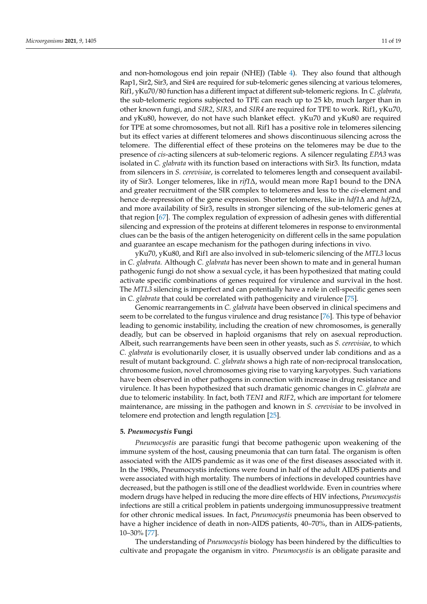and non-homologous end join repair (NHEJ) (Table [4\)](#page-9-0). They also found that although Rap1, Sir2, Sir3, and Sir4 are required for sub-telomeric genes silencing at various telomeres, Rif1, yKu70/80 function has a different impact at different sub-telomeric regions. In *C. glabrata,* the sub-telomeric regions subjected to TPE can reach up to 25 kb, much larger than in other known fungi, and *SIR2*, *SIR3*, and *SIR4* are required for TPE to work. Rif1, yKu70, and yKu80, however, do not have such blanket effect. yKu70 and yKu80 are required for TPE at some chromosomes, but not all. Rif1 has a positive role in telomeres silencing but its effect varies at different telomeres and shows discontinuous silencing across the telomere. The differential effect of these proteins on the telomeres may be due to the presence of *cis*-acting silencers at sub-telomeric regions. A silencer regulating *EPA3* was isolated in *C. glabrata* with its function based on interactions with Sir3. Its function, mdata from silencers in *S. cerevisiae*, is correlated to telomeres length and consequent availability of Sir3. Longer telomeres, like in *rif1*∆, would mean more Rap1 bound to the DNA and greater recruitment of the SIR complex to telomeres and less to the *cis*-element and hence de-repression of the gene expression. Shorter telomeres, like in *hdf1*∆ and *hdf* 2∆, and more availability of Sir3, results in stronger silencing of the sub-telomeric genes at that region [\[67\]](#page-17-22). The complex regulation of expression of adhesin genes with differential silencing and expression of the proteins at different telomeres in response to environmental clues can be the basis of the antigen heterogenicity on different cells in the same population and guarantee an escape mechanism for the pathogen during infections in vivo.

yKu70, yKu80, and Rif1 are also involved in sub-telomeric silencing of the *MTL3* locus in *C. glabrata.* Although *C. glabrata* has never been shown to mate and in general human pathogenic fungi do not show a sexual cycle, it has been hypothesized that mating could activate specific combinations of genes required for virulence and survival in the host. The *MTL3* silencing is imperfect and can potentially have a role in cell-specific genes seen in *C. glabrata* that could be correlated with pathogenicity and virulence [\[75\]](#page-18-6).

Genomic rearrangements in *C. glabrata* have been observed in clinical specimens and seem to be correlated to the fungus virulence and drug resistance [\[76\]](#page-18-7). This type of behavior leading to genomic instability, including the creation of new chromosomes, is generally deadly, but can be observed in haploid organisms that rely on asexual reproduction. Albeit, such rearrangements have been seen in other yeasts, such as *S. cerevisiae*, to which *C. glabrata* is evolutionarily closer, it is usually observed under lab conditions and as a result of mutant background. *C. glabrata* shows a high rate of non-reciprocal translocation, chromosome fusion, novel chromosomes giving rise to varying karyotypes. Such variations have been observed in other pathogens in connection with increase in drug resistance and virulence. It has been hypothesized that such dramatic genomic changes in *C. glabrata* are due to telomeric instability. In fact, both *TEN1* and *RIF2*, which are important for telomere maintenance, are missing in the pathogen and known in *S. cerevisiae* to be involved in telomere end protection and length regulation [\[25\]](#page-16-7).

#### **5.** *Pneumocystis* **Fungi**

*Pneumocystis* are parasitic fungi that become pathogenic upon weakening of the immune system of the host, causing pneumonia that can turn fatal. The organism is often associated with the AIDS pandemic as it was one of the first diseases associated with it. In the 1980s, Pneumocystis infections were found in half of the adult AIDS patients and were associated with high mortality. The numbers of infections in developed countries have decreased, but the pathogen is still one of the deadliest worldwide. Even in countries where modern drugs have helped in reducing the more dire effects of HIV infections, *Pneumocystis* infections are still a critical problem in patients undergoing immunosuppressive treatment for other chronic medical issues. In fact, *Pneumocystis* pneumonia has been observed to have a higher incidence of death in non-AIDS patients, 40–70%, than in AIDS-patients, 10–30% [\[77\]](#page-18-8).

The understanding of *Pneumocystis* biology has been hindered by the difficulties to cultivate and propagate the organism in vitro. *Pneumocystis* is an obligate parasite and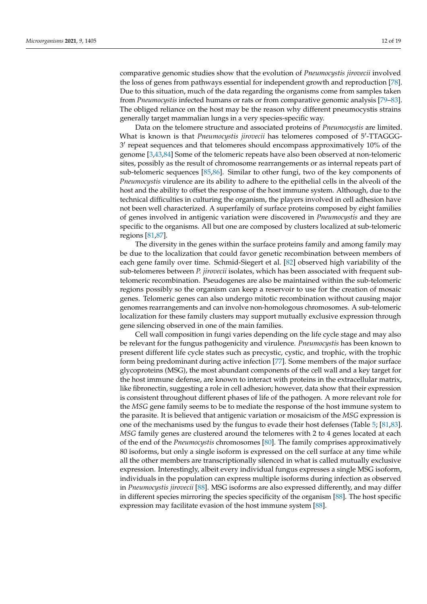comparative genomic studies show that the evolution of *Pneumocystis jirovecii* involved the loss of genes from pathways essential for independent growth and reproduction [\[78\]](#page-18-9). Due to this situation, much of the data regarding the organisms come from samples taken from *Pneumocystis* infected humans or rats or from comparative genomic analysis [\[79](#page-18-10)[–83\]](#page-18-11). The obliged reliance on the host may be the reason why different pneumocystis strains generally target mammalian lungs in a very species-specific way.

Data on the telomere structure and associated proteins of *Pneumocystis* are limited. What is known is that *Pneumocystis jirovecii* has telomeres composed of 5'-TTAGGG-3 0 repeat sequences and that telomeres should encompass approximatively 10% of the genome [\[3](#page-15-2)[,43,](#page-16-25)[84\]](#page-18-12) Some of the telomeric repeats have also been observed at non-telomeric sites, possibly as the result of chromosome rearrangements or as internal repeats part of sub-telomeric sequences [\[85,](#page-18-13)[86\]](#page-18-14). Similar to other fungi, two of the key components of *Pneumocystis* virulence are its ability to adhere to the epithelial cells in the alveoli of the host and the ability to offset the response of the host immune system. Although, due to the technical difficulties in culturing the organism, the players involved in cell adhesion have not been well characterized. A superfamily of surface proteins composed by eight families of genes involved in antigenic variation were discovered in *Pneumocystis* and they are specific to the organisms. All but one are composed by clusters localized at sub-telomeric regions [\[81](#page-18-15)[,87\]](#page-18-16).

The diversity in the genes within the surface proteins family and among family may be due to the localization that could favor genetic recombination between members of each gene family over time. Schmid-Siegert et al. [\[82\]](#page-18-17) observed high variability of the sub-telomeres between *P. jirovecii* isolates, which has been associated with frequent subtelomeric recombination. Pseudogenes are also be maintained within the sub-telomeric regions possibly so the organism can keep a reservoir to use for the creation of mosaic genes. Telomeric genes can also undergo mitotic recombination without causing major genomes rearrangements and can involve non-homologous chromosomes. A sub-telomeric localization for these family clusters may support mutually exclusive expression through gene silencing observed in one of the main families.

Cell wall composition in fungi varies depending on the life cycle stage and may also be relevant for the fungus pathogenicity and virulence. *Pneumocystis* has been known to present different life cycle states such as precystic, cystic, and trophic, with the trophic form being predominant during active infection [\[77\]](#page-18-8). Some members of the major surface glycoproteins (MSG), the most abundant components of the cell wall and a key target for the host immune defense, are known to interact with proteins in the extracellular matrix, like fibronectin, suggesting a role in cell adhesion; however, data show that their expression is consistent throughout different phases of life of the pathogen. A more relevant role for the *MSG* gene family seems to be to mediate the response of the host immune system to the parasite. It is believed that antigenic variation or mosaicism of the *MSG* expression is one of the mechanisms used by the fungus to evade their host defenses (Table [5;](#page-13-0) [\[81,](#page-18-15)[83\]](#page-18-11). *MSG* family genes are clustered around the telomeres with 2 to 4 genes located at each of the end of the *Pneumocystis* chromosomes [\[80\]](#page-18-18). The family comprises approximatively 80 isoforms, but only a single isoform is expressed on the cell surface at any time while all the other members are transcriptionally silenced in what is called mutually exclusive expression. Interestingly, albeit every individual fungus expresses a single MSG isoform, individuals in the population can express multiple isoforms during infection as observed in *Pneumocystis jirovecii* [\[88\]](#page-18-19). MSG isoforms are also expressed differently, and may differ in different species mirroring the species specificity of the organism [\[88\]](#page-18-19). The host specific expression may facilitate evasion of the host immune system [\[88\]](#page-18-19).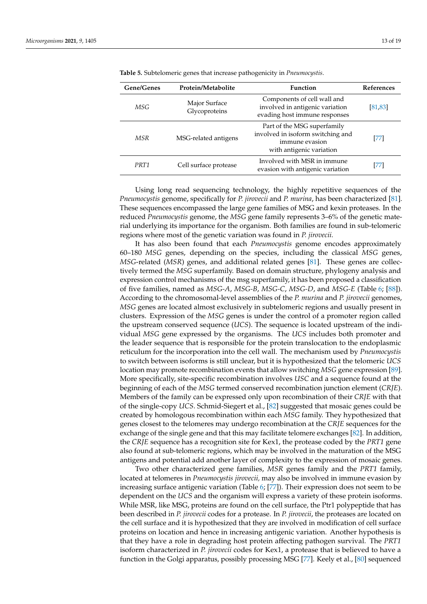| Gene/Genes | Protein/Metabolite             | <b>Function</b>                                                                                                | <b>References</b> |
|------------|--------------------------------|----------------------------------------------------------------------------------------------------------------|-------------------|
| MSG        | Major Surface<br>Glycoproteins | Components of cell wall and<br>involved in antigenic variation<br>evading host immune responses                | [81, 83]          |
| MSR        | MSG-related antigens           | Part of the MSG superfamily<br>involved in isoform switching and<br>immune evasion<br>with antigenic variation | [77]              |
| PRT1       | Cell surface protease          | Involved with MSR in immune<br>evasion with antigenic variation                                                | [77]              |

<span id="page-13-0"></span>**Table 5.** Subtelomeric genes that increase pathogenicity in *Pneumocystis*.

Using long read sequencing technology, the highly repetitive sequences of the *Pneumocystis* genome, specifically for *P. jirovecii* and *P. murina*, has been characterized [\[81\]](#page-18-15). These sequences encompassed the large gene families of MSG and kexin proteases. In the reduced *Pneumocystis* genome, the *MSG* gene family represents 3–6% of the genetic material underlying its importance for the organism. Both families are found in sub-telomeric regions where most of the genetic variation was found in *P. jirovecii*.

It has also been found that each *Pneumocystis* genome encodes approximately 60–180 *MSG* genes, depending on the species, including the classical *MSG* genes, *MSG-related (MSR)* genes, and additional related genes [\[81\]](#page-18-15). These genes are collectively termed the *MSG* superfamily. Based on domain structure, phylogeny analysis and expression control mechanisms of the msg superfamily, it has been proposed a classification of five families, named as *MSG-A*, *MSG-B*, *MSG-C*, *MSG-D*, and *MSG-E* (Table [6;](#page-14-0) [\[88\]](#page-18-19)). According to the chromosomal-level assemblies of the *P. murina* and *P. jirovecii* genomes, *MSG* genes are located almost exclusively in subtelomeric regions and usually present in clusters. Expression of the *MSG* genes is under the control of a promoter region called the upstream conserved sequence (*UCS*). The sequence is located upstream of the individual *MSG* gene expressed by the organisms. The *UCS* includes both promoter and the leader sequence that is responsible for the protein translocation to the endoplasmic reticulum for the incorporation into the cell wall. The mechanism used by *Pneumocystis* to switch between isoforms is still unclear, but it is hypothesized that the telomeric *UCS* location may promote recombination events that allow switching *MSG* gene expression [\[89\]](#page-18-20). More specifically, site-specific recombination involves *USC* and a sequence found at the beginning of each of the *MSG* termed conserved recombination junction element (*CRJE*). Members of the family can be expressed only upon recombination of their *CRJE* with that of the single-copy *UCS*. Schmid-Siegert et al., [\[82\]](#page-18-17) suggested that mosaic genes could be created by homologous recombination within each *MSG* family. They hypothesized that genes closest to the telomeres may undergo recombination at the *CRJE* sequences for the exchange of the single gene and that this may facilitate telomere exchanges [\[82\]](#page-18-17). In addition, the *CRJE* sequence has a recognition site for Kex1, the protease coded by the *PRT1* gene also found at sub-telomeric regions, which may be involved in the maturation of the MSG antigens and potential add another layer of complexity to the expression of mosaic genes.

Two other characterized gene families, *MSR* genes family and the *PRT1* family, located at telomeres in *Pneumocystis jirovecii,* may also be involved in immune evasion by increasing surface antigenic variation (Table [6;](#page-14-0) [\[77\]](#page-18-8)). Their expression does not seem to be dependent on the *UCS* and the organism will express a variety of these protein isoforms. While MSR, like MSG, proteins are found on the cell surface, the Ptr1 polypeptide that has been described in *P. jirovecii* codes for a protease. In *P. jirovecii*, the proteases are located on the cell surface and it is hypothesized that they are involved in modification of cell surface proteins on location and hence in increasing antigenic variation. Another hypothesis is that they have a role in degrading host protein affecting pathogen survival. The *PRT1* isoform characterized in *P. jirovecii* codes for Kex1, a protease that is believed to have a function in the Golgi apparatus, possibly processing MSG [\[77\]](#page-18-8). Keely et al., [\[80\]](#page-18-18) sequenced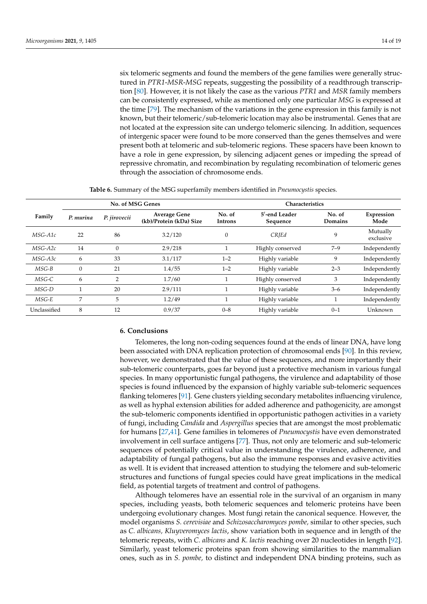six telomeric segments and found the members of the gene families were generally structured in *PTR1*-*MSR*-*MSG* repeats, suggesting the possibility of a readthrough transcription [\[80\]](#page-18-18). However, it is not likely the case as the various *PTR1* and *MSR* family members can be consistently expressed, while as mentioned only one particular *MSG* is expressed at the time [\[79\]](#page-18-10). The mechanism of the variations in the gene expression in this family is not known, but their telomeric/sub-telomeric location may also be instrumental. Genes that are not located at the expression site can undergo telomeric silencing. In addition, sequences of intergenic spacer were found to be more conserved than the genes themselves and were present both at telomeric and sub-telomeric regions. These spacers have been known to have a role in gene expression, by silencing adjacent genes or impeding the spread of repressive chromatin, and recombination by regulating recombination of telomeric genes through the association of chromosome ends.

**Table 6.** Summary of the MSG superfamily members identified in *Pneumocystis* species.

<span id="page-14-0"></span>

|              | No. of MSG Genes |              |                                                |                   | Characteristics           |                   |                       |  |
|--------------|------------------|--------------|------------------------------------------------|-------------------|---------------------------|-------------------|-----------------------|--|
| Family       | P. murina        | P. jirovecii | <b>Average Gene</b><br>(kb)/Protein (kDa) Size | No. of<br>Introns | 5'-end Leader<br>Sequence | No. of<br>Domains | Expression<br>Mode    |  |
| MSG-A1c      | 22               | 86           | 3.2/120                                        | $\overline{0}$    | CRIEd                     | 9                 | Mutually<br>exclusive |  |
| $MSG-A2c$    | 14               | $\theta$     | 2.9/218                                        |                   | Highly conserved          | $7 - 9$           | Independently         |  |
| $MSG-A3c$    | 6                | 33           | 3.1/117                                        | $1 - 2$           | Highly variable           | 9                 | Independently         |  |
| $MSG-B$      | $\theta$         | 21           | 1.4/55                                         | $1 - 2$           | Highly variable           | $2 - 3$           | Independently         |  |
| MSG-C        | 6                | 2            | 1.7/60                                         |                   | Highly conserved          | 3                 | Independently         |  |
| MSG-D        |                  | 20           | 2.9/111                                        |                   | Highly variable           | $3 - 6$           | Independently         |  |
| MSG-E        | 7                | 5            | 1.2/49                                         |                   | Highly variable           |                   | Independently         |  |
| Unclassified | 8                | 12           | 0.9/37                                         | $0 - 8$           | Highly variable           | $0 - 1$           | Unknown               |  |

#### **6. Conclusions**

Telomeres, the long non-coding sequences found at the ends of linear DNA, have long been associated with DNA replication protection of chromosomal ends [\[90\]](#page-18-21). In this review, however, we demonstrated that the value of these sequences, and more importantly their sub-telomeric counterparts, goes far beyond just a protective mechanism in various fungal species. In many opportunistic fungal pathogens, the virulence and adaptability of those species is found influenced by the expansion of highly variable sub-telomeric sequences flanking telomeres [\[91\]](#page-18-22). Gene clusters yielding secondary metabolites influencing virulence, as well as hyphal extension abilities for added adherence and pathogenicity, are amongst the sub-telomeric components identified in opportunistic pathogen activities in a variety of fungi, including *Candida* and *Aspergillus* species that are amongst the most problematic for humans [\[27](#page-16-9)[,41\]](#page-16-23). Gene families in telomeres of *Pneumocystis* have even demonstrated involvement in cell surface antigens [\[77\]](#page-18-8). Thus, not only are telomeric and sub-telomeric sequences of potentially critical value in understanding the virulence, adherence, and adaptability of fungal pathogens, but also the immune responses and evasive activities as well. It is evident that increased attention to studying the telomere and sub-telomeric structures and functions of fungal species could have great implications in the medical field, as potential targets of treatment and control of pathogens.

Although telomeres have an essential role in the survival of an organism in many species, including yeasts, both telomeric sequences and telomeric proteins have been undergoing evolutionary changes. Most fungi retain the canonical sequence. However, the model organisms *S. cerevisiae* and *Schizosaccharomyces pombe,* similar to other species, such as *C. albicans, Kluyveromyces lactis*, show variation both in sequence and in length of the telomeric repeats, with *C. albicans* and *K. lactis* reaching over 20 nucleotides in length [\[92\]](#page-18-23). Similarly, yeast telomeric proteins span from showing similarities to the mammalian ones, such as in *S. pombe,* to distinct and independent DNA binding proteins, such as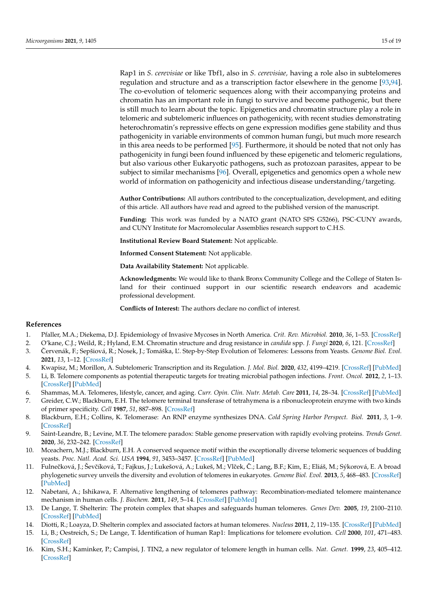Rap1 in *S. cerevisiae* or like Tbf1, also in *S. cerevisiae,* having a role also in subtelomeres regulation and structure and as a transcription factor elsewhere in the genome [\[93,](#page-18-24)[94\]](#page-18-25). The co-evolution of telomeric sequences along with their accompanying proteins and chromatin has an important role in fungi to survive and become pathogenic, but there is still much to learn about the topic. Epigenetics and chromatin structure play a role in telomeric and subtelomeric influences on pathogenicity, with recent studies demonstrating heterochromatin's repressive effects on gene expression modifies gene stability and thus pathogenicity in variable environments of common human fungi, but much more research in this area needs to be performed [\[95\]](#page-19-0). Furthermore, it should be noted that not only has pathogenicity in fungi been found influenced by these epigenetic and telomeric regulations, but also various other Eukaryotic pathogens, such as protozoan parasites, appear to be subject to similar mechanisms [\[96\]](#page-19-1). Overall, epigenetics and genomics open a whole new world of information on pathogenicity and infectious disease understanding/targeting.

**Author Contributions:** All authors contributed to the conceptualization, development, and editing of this article. All authors have read and agreed to the published version of the manuscript.

**Funding:** This work was funded by a NATO grant (NATO SPS G5266), PSC-CUNY awards, and CUNY Institute for Macromolecular Assemblies research support to C.H.S.

**Institutional Review Board Statement:** Not applicable.

**Informed Consent Statement:** Not applicable.

**Data Availability Statement:** Not applicable.

**Acknowledgments:** We would like to thank Bronx Community College and the College of Staten Island for their continued support in our scientific research endeavors and academic professional development.

**Conflicts of Interest:** The authors declare no conflict of interest.

#### **References**

- <span id="page-15-0"></span>1. Pfaller, M.A.; Diekema, D.J. Epidemiology of Invasive Mycoses in North America. *Crit. Rev. Microbiol.* **2010**, *36*, 1–53. [\[CrossRef\]](http://doi.org/10.3109/10408410903241444)
- <span id="page-15-1"></span>2. O'kane, C.J.; Weild, R.; Hyland, E.M. Chromatin structure and drug resistance in *candida* spp. *J. Fungi* **2020**, *6*, 121. [\[CrossRef\]](http://doi.org/10.3390/jof6030121)
- <span id="page-15-2"></span>3. Červenák, F.; Sepšiová, R.; Nosek, J.; Tomáška, L'. Step-by-Step Evolution of Telomeres: Lessons from Yeasts. *Genome Biol. Evol.* **2021**, *13*, 1–12. [\[CrossRef\]](http://doi.org/10.1093/gbe/evaa268)
- <span id="page-15-3"></span>4. Kwapisz, M.; Morillon, A. Subtelomeric Transcription and its Regulation. *J. Mol. Biol.* **2020**, *432*, 4199–4219. [\[CrossRef\]](http://doi.org/10.1016/j.jmb.2020.01.026) [\[PubMed\]](http://www.ncbi.nlm.nih.gov/pubmed/32035903)
- <span id="page-15-4"></span>5. Li, B. Telomere components as potential therapeutic targets for treating microbial pathogen infections. *Front. Oncol.* **2012**, *2*, 1–13. [\[CrossRef\]](http://doi.org/10.3389/fonc.2012.00156) [\[PubMed\]](http://www.ncbi.nlm.nih.gov/pubmed/23125966)
- <span id="page-15-5"></span>6. Shammas, M.A. Telomeres, lifestyle, cancer, and aging. *Curr. Opin. Clin. Nutr. Metab. Care* **2011**, *14*, 28–34. [\[CrossRef\]](http://doi.org/10.1097/MCO.0b013e32834121b1) [\[PubMed\]](http://www.ncbi.nlm.nih.gov/pubmed/21102320)
- <span id="page-15-6"></span>7. Greider, C.W.; Blackburn, E.H. The telomere terminal transferase of tetrahymena is a ribonucleoprotein enzyme with two kinds of primer specificity. *Cell* **1987**, *51*, 887–898. [\[CrossRef\]](http://doi.org/10.1016/0092-8674(87)90576-9)
- <span id="page-15-7"></span>8. Blackburn, E.H.; Collins, K. Telomerase: An RNP enzyme synthesizes DNA. *Cold Spring Harbor Perspect. Biol.* **2011**, *3*, 1–9. [\[CrossRef\]](http://doi.org/10.1101/cshperspect.a003558)
- <span id="page-15-8"></span>9. Saint-Leandre, B.; Levine, M.T. The telomere paradox: Stable genome preservation with rapidly evolving proteins. *Trends Genet.* **2020**, *36*, 232–242. [\[CrossRef\]](http://doi.org/10.1016/j.tig.2020.01.007)
- <span id="page-15-9"></span>10. Mceachern, M.J.; Blackburn, E.H. A conserved sequence motif within the exceptionally diverse telomeric sequences of budding yeasts. *Proc. Natl. Acad. Sci. USA* **1994**, *91*, 3453–3457. [\[CrossRef\]](http://doi.org/10.1073/pnas.91.8.3453) [\[PubMed\]](http://www.ncbi.nlm.nih.gov/pubmed/8159768)
- <span id="page-15-10"></span>11. Fulnečková, J.; Ševčíková, T.; Fajkus, J.; Lukešová, A.; Lukeš, M.; Vlček, Č.; Lang, B.F.; Kim, E.; Eliáš, M.; Sýkorová, E. A broad phylogenetic survey unveils the diversity and evolution of telomeres in eukaryotes. *Genome Biol. Evol.* **2013**, *5*, 468–483. [\[CrossRef\]](http://doi.org/10.1093/gbe/evt019) [\[PubMed\]](http://www.ncbi.nlm.nih.gov/pubmed/23395982)
- <span id="page-15-11"></span>12. Nabetani, A.; Ishikawa, F. Alternative lengthening of telomeres pathway: Recombination-mediated telomere maintenance mechanism in human cells. *J. Biochem.* **2011**, *149*, 5–14. [\[CrossRef\]](http://doi.org/10.1093/jb/mvq119) [\[PubMed\]](http://www.ncbi.nlm.nih.gov/pubmed/20937668)
- <span id="page-15-12"></span>13. De Lange, T. Shelterin: The protein complex that shapes and safeguards human telomeres. *Genes Dev.* **2005**, *19*, 2100–2110. [\[CrossRef\]](http://doi.org/10.1101/gad.1346005) [\[PubMed\]](http://www.ncbi.nlm.nih.gov/pubmed/16166375)
- <span id="page-15-14"></span><span id="page-15-13"></span>14. Diotti, R.; Loayza, D. Shelterin complex and associated factors at human telomeres. *Nucleus* **2011**, *2*, 119–135. [\[CrossRef\]](http://doi.org/10.4161/nucl.2.2.15135) [\[PubMed\]](http://www.ncbi.nlm.nih.gov/pubmed/21738835) 15. Li, B.; Oestreich, S.; De Lange, T. Identification of human Rap1: Implications for telomere evolution. *Cell* **2000**, *101*, 471–483. [\[CrossRef\]](http://doi.org/10.1016/S0092-8674(00)80858-2)
- <span id="page-15-15"></span>16. Kim, S.H.; Kaminker, P.; Campisi, J. TIN2, a new regulator of telomere length in human cells. *Nat. Genet.* **1999**, *23*, 405–412. [\[CrossRef\]](http://doi.org/10.1038/70508)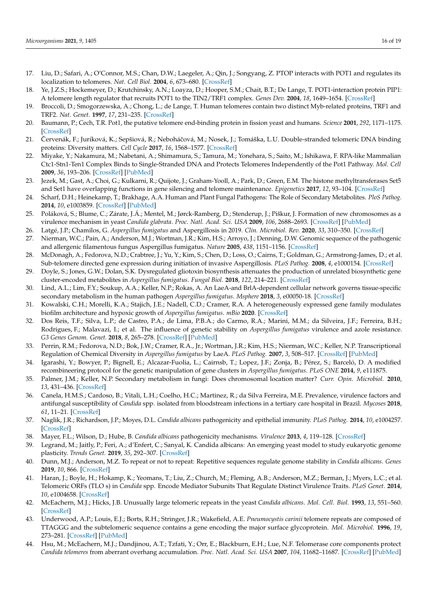- <span id="page-16-0"></span>17. Liu, D.; Safari, A.; O'Connor, M.S.; Chan, D.W.; Laegeler, A.; Qin, J.; Songyang, Z. PTOP interacts with POT1 and regulates its localization to telomeres. *Nat. Cell Biol.* **2004**, *6*, 673–680. [\[CrossRef\]](http://doi.org/10.1038/ncb1142)
- <span id="page-16-1"></span>18. Ye, J.Z.S.; Hockemeyer, D.; Krutchinsky, A.N.; Loayza, D.; Hooper, S.M.; Chait, B.T.; De Lange, T. POT1-interaction protein PIP1: A telomere length regulator that recruits POT1 to the TIN2/TRF1 complex. *Genes Dev.* **2004**, *18*, 1649–1654. [\[CrossRef\]](http://doi.org/10.1101/gad.1215404)
- <span id="page-16-2"></span>19. Broccoli, D.; Smogorzewska, A.; Chong, L.; de Lange, T. Human telomeres contain two distinct Myb-related proteins, TRF1 and TRF2. *Nat. Genet.* **1997**, *17*, 231–235. [\[CrossRef\]](http://doi.org/10.1038/ng1097-231)
- 20. Baumann, P.; Cech, T.R. Pot1, the putative telomere end-binding protein in fission yeast and humans. *Science* **2001**, *292*, 1171–1175. [\[CrossRef\]](http://doi.org/10.1126/science.1060036)
- <span id="page-16-3"></span>21. Červenák, F.; Juríková, K.; Sepšiová, R.; Neboháčová, M.; Nosek, J.; Tomáška, L.U. Double-stranded telomeric DNA binding proteins: Diversity matters. *Cell Cycle* **2017**, *16*, 1568–1577. [\[CrossRef\]](http://doi.org/10.1080/15384101.2017.1356511)
- <span id="page-16-4"></span>22. Miyake, Y.; Nakamura, M.; Nabetani, A.; Shimamura, S.; Tamura, M.; Yonehara, S.; Saito, M.; Ishikawa, F. RPA-like Mammalian Ctc1-Stn1-Ten1 Complex Binds to Single-Stranded DNA and Protects Telomeres Independently of the Pot1 Pathway. *Mol. Cell* **2009**, *36*, 193–206. [\[CrossRef\]](http://doi.org/10.1016/j.molcel.2009.08.009) [\[PubMed\]](http://www.ncbi.nlm.nih.gov/pubmed/19854130)
- <span id="page-16-5"></span>23. Jezek, M.; Gast, A.; Choi, G.; Kulkarni, R.; Quijote, J.; Graham-Yooll, A.; Park, D.; Green, E.M. The histone methyltransferases Set5 and Set1 have overlapping functions in gene silencing and telomere maintenance. *Epigenetics* **2017**, *12*, 93–104. [\[CrossRef\]](http://doi.org/10.1080/15592294.2016.1265712)
- <span id="page-16-6"></span>24. Scharf, D.H.; Heinekamp, T.; Brakhage, A.A. Human and Plant Fungal Pathogens: The Role of Secondary Metabolites. *PloS Pathog.* **2014**, *10*, e1003859. [\[CrossRef\]](http://doi.org/10.1371/journal.ppat.1003859) [\[PubMed\]](http://www.ncbi.nlm.nih.gov/pubmed/24497825)
- <span id="page-16-7"></span>25. Poláková, S.; Blume, C.; Zárate, J.Á.; Mentel, M.; Jørck-Ramberg, D.; Stenderup, J.; Piškur, J. Formation of new chromosomes as a virulence mechanism in yeast *Candida glabrata*. *Proc. Natl. Acad. Sci. USA* **2009**, *106*, 2688–2693. [\[CrossRef\]](http://doi.org/10.1073/pnas.0809793106) [\[PubMed\]](http://www.ncbi.nlm.nih.gov/pubmed/19204294)
- <span id="page-16-8"></span>26. Latgé, J.P.; Chamilos, G. *Aspergillus fumigatus* and Aspergillosis in 2019. *Clin. Microbiol. Rev.* **2020**, *33*, 310–350. [\[CrossRef\]](http://doi.org/10.1128/CMR.00140-18)
- <span id="page-16-9"></span>27. Nierman, W.C.; Pain, A.; Anderson, M.J.; Wortman, J.R.; Kim, H.S.; Arroyo, J.; Denning, D.W. Genomic sequence of the pathogenic and allergenic filamentous fungus Aspergillus fumigatus. *Nature* **2005**, *438*, 1151–1156. [\[CrossRef\]](http://doi.org/10.1038/nature04332)
- <span id="page-16-10"></span>28. McDonagh, A.; Fedorova, N.D.; Crabtree, J.; Yu, Y.; Kim, S.; Chen, D.; Loss, O.; Cairns, T.; Goldman, G.; Armstrong-James, D.; et al. Sub-telomere directed gene expression during initiation of invasive Aspergillosis. *PLoS Pathog.* **2008**, *4*, e1000154. [\[CrossRef\]](http://doi.org/10.1371/journal.ppat.1000154)
- <span id="page-16-11"></span>29. Doyle, S.; Jones, G.W.; Dolan, S.K. Dysregulated gliotoxin biosynthesis attenuates the production of unrelated biosynthetic gene cluster-encoded metabolites in *Aspergillus fumigatus*. *Fungal Biol.* **2018**, *122*, 214–221. [\[CrossRef\]](http://doi.org/10.1016/j.funbio.2017.12.007)
- <span id="page-16-12"></span>30. Lind, A.L.; Lim, F.Y.; Soukup, A.A.; Keller, N.P.; Rokas, A. An LaeA-and BrlA-dependent cellular network governs tissue-specific secondary metabolism in the human pathogen *Aspergillus fumigatus*. *Msphere* **2018**, *3*, e00050-18. [\[CrossRef\]](http://doi.org/10.1128/mSphere.00050-18)
- <span id="page-16-13"></span>31. Kowalski, C.H.; Morelli, K.A.; Stajich, J.E.; Nadell, C.D.; Cramer, R.A. A heterogeneously expressed gene family modulates biofilm architecture and hypoxic growth of *Aspergillus fumigatus*. *mBio* **2020**. [\[CrossRef\]](http://doi.org/10.1128/mbio.03579-20)
- <span id="page-16-14"></span>32. Dos Reis, T.F.; Silva, L.P.; de Castro, P.A.; de Lima, P.B.A.; do Carmo, R.A.; Marini, M.M.; da Silveira, J.F.; Ferreira, B.H.; Rodrigues, F.; Malavazi, I.; et al. The influence of genetic stability on *Aspergillus fumigatus* virulence and azole resistance. *G3 Genes Genom. Genet.* **2018**, *8*, 265–278. [\[CrossRef\]](http://doi.org/10.1534/g3.117.300265) [\[PubMed\]](http://www.ncbi.nlm.nih.gov/pubmed/29150592)
- <span id="page-16-15"></span>33. Perrin, R.M.; Fedorova, N.D.; Bok, J.W.; Cramer, R.A., Jr.; Wortman, J.R.; Kim, H.S.; Nierman, W.C.; Keller, N.P. Transcriptional Regulation of Chemical Diversity in *Aspergillus fumigatus* by LaeA. *PLoS Pathog.* **2007**, *3*, 508–517. [\[CrossRef\]](http://doi.org/10.1371/journal.ppat.0030050) [\[PubMed\]](http://www.ncbi.nlm.nih.gov/pubmed/17432932)
- <span id="page-16-16"></span>34. Igarashi, Y.; Bowyer, P.; Bignell, E.; Alcazar-Fuolia, L.; Cairnsb, T.; Lopez, J.F.; Zonja, B.; Pérez, S.; Barceló, D. A modified recombineering protocol for the genetic manipulation of gene clusters in *Aspergillus fumigatus*. *PLoS ONE* **2014**, *9*, e111875.
- <span id="page-16-17"></span>35. Palmer, J.M.; Keller, N.P. Secondary metabolism in fungi: Does chromosomal location matter? *Curr. Opin. Microbiol.* **2010**, *13*, 431–436. [\[CrossRef\]](http://doi.org/10.1016/j.mib.2010.04.008)
- <span id="page-16-18"></span>36. Canela, H.M.S.; Cardoso, B.; Vitali, L.H.; Coelho, H.C.; Martinez, R.; da Silva Ferreira, M.E. Prevalence, virulence factors and antifungal susceptibility of *Candida* spp. isolated from bloodstream infections in a tertiary care hospital in Brazil. *Mycoses* **2018**, *61*, 11–21. [\[CrossRef\]](http://doi.org/10.1111/myc.12695)
- <span id="page-16-19"></span>37. Naglik, J.R.; Richardson, J.P.; Moyes, D.L. *Candida albicans* pathogenicity and epithelial immunity. *PLoS Pathog.* **2014**, *10*, e1004257. [\[CrossRef\]](http://doi.org/10.1371/journal.ppat.1004257)
- <span id="page-16-20"></span>38. Mayer, F.L.; Wilson, D.; Hube, B. *Candida albicans* pathogenicity mechanisms. *Virulence* **2013**, *4*, 119–128. [\[CrossRef\]](http://doi.org/10.4161/viru.22913)
- <span id="page-16-21"></span>39. Legrand, M.; Jaitly, P.; Feri, A.; d'Enfert, C.; Sanyal, K. Candida albicans: An emerging yeast model to study eukaryotic genome plasticity. *Trends Genet.* **2019**, *35*, 292–307. [\[CrossRef\]](http://doi.org/10.1016/j.tig.2019.01.005)
- <span id="page-16-22"></span>40. Dunn, M.J.; Anderson, M.Z. To repeat or not to repeat: Repetitive sequences regulate genome stability in *Candida albicans*. *Genes* **2019**, *10*, 866. [\[CrossRef\]](http://doi.org/10.3390/genes10110866)
- <span id="page-16-23"></span>41. Haran, J.; Boyle, H.; Hokamp, K.; Yeomans, T.; Liu, Z.; Church, M.; Fleming, A.B.; Anderson, M.Z.; Berman, J.; Myers, L.C.; et al. Telomeric ORFs (TLO s) in *Candida* spp. Encode Mediator Subunits That Regulate Distinct Virulence Traits. *PLoS Genet.* **2014**, *10*, e1004658. [\[CrossRef\]](http://doi.org/10.1371/journal.pgen.1004658)
- <span id="page-16-24"></span>42. McEachern, M.J.; Hicks, J.B. Unusually large telomeric repeats in the yeast *Candida albicans*. *Mol. Cell. Biol.* **1993**, *13*, 551–560. [\[CrossRef\]](http://doi.org/10.1128/MCB.13.1.551)
- <span id="page-16-25"></span>43. Underwood, A.P.; Louis, E.J.; Borts, R.H.; Stringer, J.R.; Wakefield, A.E. *Pneumocystis carinii* telomere repeats are composed of TTAGGG and the subtelomeric sequence contains a gene encoding the major surface glycoprotein. *Mol. Microbiol.* **1996**, *19*, 273–281. [\[CrossRef\]](http://doi.org/10.1046/j.1365-2958.1996.374904.x) [\[PubMed\]](http://www.ncbi.nlm.nih.gov/pubmed/8825773)
- <span id="page-16-26"></span>44. Hsu, M.; McEachern, M.J.; Dandjinou, A.T.; Tzfati, Y.; Orr, E.; Blackburn, E.H.; Lue, N.F. Telomerase core components protect *Candida telomeres* from aberrant overhang accumulation. *Proc. Natl. Acad. Sci. USA* **2007**, *104*, 11682–11687. [\[CrossRef\]](http://doi.org/10.1073/pnas.0700327104) [\[PubMed\]](http://www.ncbi.nlm.nih.gov/pubmed/17609387)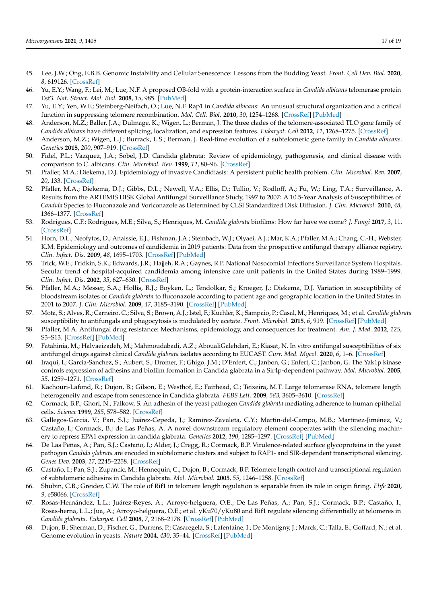- <span id="page-17-0"></span>45. Lee, J.W.; Ong, E.B.B. Genomic Instability and Cellular Senescence: Lessons from the Budding Yeast. *Front. Cell Dev. Biol.* **2020**, *8*, 619126. [\[CrossRef\]](http://doi.org/10.3389/fcell.2020.619126)
- <span id="page-17-1"></span>46. Yu, E.Y.; Wang, F.; Lei, M.; Lue, N.F. A proposed OB-fold with a protein-interaction surface in *Candida albicans* telomerase protein Est3. *Nat. Struct. Mol. Biol.* **2008**, *15*, 985. [\[PubMed\]](http://www.ncbi.nlm.nih.gov/pubmed/19172753)
- <span id="page-17-2"></span>47. Yu, E.Y.; Yen, W.F.; Steinberg-Neifach, O.; Lue, N.F. Rap1 in *Candida albicans*: An unusual structural organization and a critical function in suppressing telomere recombination. *Mol. Cell. Biol.* **2010**, *30*, 1254–1268. [\[CrossRef\]](http://doi.org/10.1128/MCB.00986-09) [\[PubMed\]](http://www.ncbi.nlm.nih.gov/pubmed/20008550)
- <span id="page-17-3"></span>48. Anderson, M.Z.; Baller, J.A.; Dulmage, K.; Wigen, L.; Berman, J. The three clades of the telomere-associated TLO gene family of *Candida albicans* have different splicing, localization, and expression features. *Eukaryot. Cell* **2012**, *11*, 1268–1275. [\[CrossRef\]](http://doi.org/10.1128/EC.00230-12)
- <span id="page-17-4"></span>49. Anderson, M.Z.; Wigen, L.J.; Burrack, L.S.; Berman, J. Real-time evolution of a subtelomeric gene family in *Candida albicans*. *Genetics* **2015**, *200*, 907–919. [\[CrossRef\]](http://doi.org/10.1534/genetics.115.177451)
- <span id="page-17-5"></span>50. Fidel, P.L.; Vazquez, J.A.; Sobel, J.D. Candida glabrata: Review of epidemiology, pathogenesis, and clinical disease with comparison to C. albicans. *Clin. Microbiol. Rev.* **1999**, *12*, 80–96. [\[CrossRef\]](http://doi.org/10.1128/CMR.12.1.80)
- <span id="page-17-9"></span>51. Pfaller, M.A.; Diekema, D.J. Epidemiology of invasive Candidiasis: A persistent public health problem. *Clin. Microbiol. Rev.* **2007**, *20*, 133. [\[CrossRef\]](http://doi.org/10.1128/CMR.00029-06)
- <span id="page-17-6"></span>52. Pfaller, M.A.; Diekema, D.J.; Gibbs, D.L.; Newell, V.A.; Ellis, D.; Tullio, V.; Rodloff, A.; Fu, W.; Ling, T.A.; Surveillance, A. Results from the ARTEMIS DISK Global Antifungal Surveillance Study, 1997 to 2007: A 10.5-Year Analysis of Susceptibilities of *Candida* Species to Fluconazole and Voriconazole as Determined by CLSI Standardized Disk Diffusion. *J. Clin. Microbiol.* **2010**, *48*, 1366–1377. [\[CrossRef\]](http://doi.org/10.1128/JCM.02117-09)
- <span id="page-17-7"></span>53. Rodrigues, C.F.; Rodrigues, M.E.; Silva, S.; Henriques, M. *Candida glabrata* biofilms: How far have we come? *J. Fungi* **2017**, *3*, 11. [\[CrossRef\]](http://doi.org/10.3390/jof3010011)
- <span id="page-17-8"></span>54. Horn, D.L.; Neofytos, D.; Anaissie, E.J.; Fishman, J.A.; Steinbach, W.J.; Olyaei, A.J.; Mar, K.A.; Pfaller, M.A.; Chang, C.-H.; Webster, K.M. Epidemiology and outcomes of candidemia in 2019 patients: Data from the prospective antifungal therapy alliance registry. *Clin. Infect. Dis.* **2009**, *48*, 1695–1703. [\[CrossRef\]](http://doi.org/10.1086/599039) [\[PubMed\]](http://www.ncbi.nlm.nih.gov/pubmed/19441981)
- <span id="page-17-10"></span>55. Trick, W.E.; Fridkin, S.K.; Edwards, J.R.; Hajjeh, R.A.; Gaynes, R.P. National Nosocomial Infections Surveillance System Hospitals. Secular trend of hospital-acquired candidemia among intensive care unit patients in the United States during 1989–1999. *Clin. Infect. Dis.* **2002**, *35*, 627–630. [\[CrossRef\]](http://doi.org/10.1086/342300)
- <span id="page-17-11"></span>56. Pfaller, M.A.; Messer, S.A.; Hollis, R.J.; Boyken, L.; Tendolkar, S.; Kroeger, J.; Diekema, D.J. Variation in susceptibility of bloodstream isolates of *Candida glabrata* to fluconazole according to patient age and geographic location in the United States in 2001 to 2007. *J. Clin. Microbiol.* **2009**, *47*, 3185–3190. [\[CrossRef\]](http://doi.org/10.1128/JCM.00946-09) [\[PubMed\]](http://www.ncbi.nlm.nih.gov/pubmed/19656983)
- <span id="page-17-12"></span>57. Mota, S.; Alves, R.; Carneiro, C.; Silva, S.; Brown, A.J.; Istel, F.; Kuchler, K.; Sampaio, P.; Casal, M.; Henriques, M.; et al. *Candida glabrata* susceptibility to antifungals and phagocytosis is modulated by acetate. *Front. Microbiol.* **2015**, *6*, 919. [\[CrossRef\]](http://doi.org/10.3389/fmicb.2015.00919) [\[PubMed\]](http://www.ncbi.nlm.nih.gov/pubmed/26388859)
- <span id="page-17-13"></span>58. Pfaller, M.A. Antifungal drug resistance: Mechanisms, epidemiology, and consequences for treatment. *Am. J. Med.* **2012**, *125*, S3–S13. [\[CrossRef\]](http://doi.org/10.1016/j.amjmed.2011.11.001) [\[PubMed\]](http://www.ncbi.nlm.nih.gov/pubmed/22196207)
- <span id="page-17-14"></span>59. Fatahinia, M.; Halvaeizadeh, M.; Mahmoudabadi, A.Z.; AboualiGalehdari, E.; Kiasat, N. In vitro antifungal susceptibilities of six antifungal drugs against clinical *Candida glabrata* isolates according to EUCAST. *Curr. Med. Mycol.* **2020**, *6*, 1–6. [\[CrossRef\]](http://doi.org/10.18502/cmm.6.2.2692)
- <span id="page-17-15"></span>60. Iraqui, I.; Garcia-Sanchez, S.; Aubert, S.; Dromer, F.; Ghigo, J.M.; D'Enfert, C.; Janbon, G.; Enfert, C.; Janbon, G. The Yak1p kinase controls expression of adhesins and biofilm formation in Candida glabrata in a Sir4p-dependent pathway. *Mol. Microbiol.* **2005**, *55*, 1259–1271. [\[CrossRef\]](http://doi.org/10.1111/j.1365-2958.2004.04475.x)
- <span id="page-17-16"></span>61. Kachouri-Lafond, R.; Dujon, B.; Gilson, E.; Westhof, E.; Fairhead, C.; Teixeira, M.T. Large telomerase RNA, telomere length heterogeneity and escape from senescence in Candida glabrata. *FEBS Lett.* **2009**, *583*, 3605–3610. [\[CrossRef\]](http://doi.org/10.1016/j.febslet.2009.10.034)
- <span id="page-17-17"></span>62. Cormack, B.P.; Ghori, N.; Falkow, S. An adhesin of the yeast pathogen *Candida glabrata* mediating adherence to human epithelial cells. *Science* **1999**, *285*, 578–582. [\[CrossRef\]](http://doi.org/10.1126/science.285.5427.578)
- <span id="page-17-18"></span>63. Gallegos-García, V.; Pan, S.J.; Juárez-Cepeda, J.; Ramírez-Zavaleta, C.Y.; Martin-del-Campo, M.B.; Martínez-Jiménez, V.; Castaño, I.; Cormack, B.; de Las Peñas, A. A novel downstream regulatory element cooperates with the silencing machinery to repress EPA1 expression in candida glabrata. *Genetics* **2012**, *190*, 1285–1297. [\[CrossRef\]](http://doi.org/10.1534/genetics.111.138099) [\[PubMed\]](http://www.ncbi.nlm.nih.gov/pubmed/22234857)
- <span id="page-17-19"></span>64. De Las Peñas, A.; Pan, S.J.; Castaño, I.; Alder, J.; Cregg, R.; Cormack, B.P. Virulence-related surface glycoproteins in the yeast pathogen *Candida glabrata* are encoded in subtelomeric clusters and subject to RAP1- and SIR-dependent transcriptional silencing. *Genes Dev.* **2003**, *17*, 2245–2258. [\[CrossRef\]](http://doi.org/10.1101/gad.1121003)
- <span id="page-17-20"></span>65. Castaño, I.; Pan, S.J.; Zupancic, M.; Hennequin, C.; Dujon, B.; Cormack, B.P. Telomere length control and transcriptional regulation of subtelomeric adhesins in Candida glabrata. *Mol. Microbiol.* **2005**, *55*, 1246–1258. [\[CrossRef\]](http://doi.org/10.1111/j.1365-2958.2004.04465.x)
- <span id="page-17-21"></span>66. Shubin, C.B.; Greider, C.W. The role of Rif1 in telomere length regulation is separable from its role in origin firing. *Elife* **2020**, *9*, e58066. [\[CrossRef\]](http://doi.org/10.7554/eLife.58066)
- <span id="page-17-22"></span>67. Rosas-Hernández, L.L.; Juárez-Reyes, A.; Arroyo-helguera, O.E.; De Las Peñas, A.; Pan, S.J.; Cormack, B.P.; Castaño, I.; Rosas-herna, L.L.; Jua, A.; Arroyo-helguera, O.E.; et al. yKu70/yKu80 and Rif1 regulate silencing differentially at telomeres in *Candida glabrata*. *Eukaryot. Cell* **2008**, *7*, 2168–2178. [\[CrossRef\]](http://doi.org/10.1128/EC.00228-08) [\[PubMed\]](http://www.ncbi.nlm.nih.gov/pubmed/18836091)
- <span id="page-17-23"></span>68. Dujon, B.; Sherman, D.; Fischer, G.; Durrens, P.; Casaregela, S.; Lafentaine, I.; De Montigny, J.; Marck, C.; Talla, E.; Goffard, N.; et al. Genome evolution in yeasts. *Nature* **2004**, *430*, 35–44. [\[CrossRef\]](http://doi.org/10.1038/nature02579) [\[PubMed\]](http://www.ncbi.nlm.nih.gov/pubmed/15229592)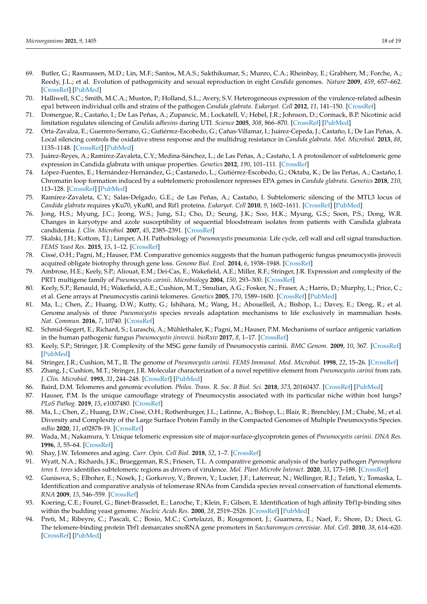- <span id="page-18-0"></span>69. Butler, G.; Rasmussen, M.D.; Lin, M.F.; Santos, M.A.S.; Sakthikumar, S.; Munro, C.A.; Rheinbay, E.; Grabherr, M.; Forche, A.; Reedy, J.L.; et al. Evolution of pathogenicity and sexual reproduction in eight *Candida* genomes. *Nature* **2009**, *459*, 657–662. [\[CrossRef\]](http://doi.org/10.1038/nature08064) [\[PubMed\]](http://www.ncbi.nlm.nih.gov/pubmed/19465905)
- <span id="page-18-1"></span>70. Halliwell, S.C.; Smith, M.C.A.; Muston, P.; Holland, S.L.; Avery, S.V. Heterogeneous expression of the virulence-related adhesin epa1 between individual cells and strains of the pathogen *Candida glabrata*. *Eukaryot. Cell* **2012**, *11*, 141–150. [\[CrossRef\]](http://doi.org/10.1128/EC.05232-11)
- <span id="page-18-2"></span>71. Domergue, R.; Castaño, I.; De Las Peñas, A.; Zupancic, M.; Lockatell, V.; Hebel, J.R.; Johnson, D.; Cormack, B.P. Nicotinic acid limitation regulates silencing of *Candida adhesins* during UTI. *Science* **2005**, *308*, 866–870. [\[CrossRef\]](http://doi.org/10.1126/science.1108640) [\[PubMed\]](http://www.ncbi.nlm.nih.gov/pubmed/15774723)
- <span id="page-18-3"></span>72. Orta-Zavalza, E.; Guerrero-Serrano, G.; Gutiérrez-Escobedo, G.; Cañas-Villamar, I.; Juárez-Cepeda, J.; Castaño, I.; De Las Peñas, A. Local silencing controls the oxidative stress response and the multidrug resistance in *Candida glabrata*. *Mol. Microbiol.* **2013**, *88*, 1135–1148. [\[CrossRef\]](http://doi.org/10.1111/mmi.12247) [\[PubMed\]](http://www.ncbi.nlm.nih.gov/pubmed/23651300)
- <span id="page-18-4"></span>73. Juárez-Reyes, A.; Ramírez-Zavaleta, C.Y.; Medina-Sánchez, L.; de Las Peñas, A.; Castaño, I. A protosilencer of subtelomeric gene expression in Candida glabrata with unique properties. *Genetics* **2012**, *190*, 101–111. [\[CrossRef\]](http://doi.org/10.1534/genetics.111.135251)
- <span id="page-18-5"></span>74. López-Fuentes, E.; Hernández-Hernández, G.; Castanedo, L.; Gutiérrez-Escobedo, G.; Oktaba, K.; De las Peñas, A.; Castaño, I. Chromatin loop formation induced by a subtelomeric protosilencer represses EPA genes in *Candida glabrata*. *Genetics* **2018**, *210*, 113–128. [\[CrossRef\]](http://doi.org/10.1534/genetics.118.301202) [\[PubMed\]](http://www.ncbi.nlm.nih.gov/pubmed/30002080)
- <span id="page-18-6"></span>75. Ramírez-Zavaleta, C.Y.; Salas-Delgado, G.E.; de Las Peñas, A.; Castaño, I. Subtelomeric silencing of the MTL3 locus of *Candida glabrata* requires yKu70, yKu80, and Rif1 proteins. *Eukaryot. Cell* **2010**, *9*, 1602–1611. [\[CrossRef\]](http://doi.org/10.1128/EC.00129-10) [\[PubMed\]](http://www.ncbi.nlm.nih.gov/pubmed/20675581)
- <span id="page-18-7"></span>76. Jong, H.S.; Myung, J.C.; Jeong, W.S.; Jung, S.I.; Cho, D.; Seung, J.K.; Soo, H.K.; Myung, G.S.; Soon, P.S.; Dong, W.R. Changes in karyotype and azole susceptibility of sequential bloodstream isolates from patients with Candida glabrata candidemia. *J. Clin. Microbiol.* **2007**, *45*, 2385–2391. [\[CrossRef\]](https://journals.asm.org/doi/full/10.1128/JCM.00381-07)
- <span id="page-18-8"></span>77. Skalski, J.H.; Kottom, T.J.; Limper, A.H. Pathobiology of *Pneumocystis* pneumonia: Life cycle, cell wall and cell signal transduction. *FEMS Yeast Res.* **2015**, *15*, 1–12. [\[CrossRef\]](http://doi.org/10.1093/femsyr/fov046)
- <span id="page-18-9"></span>78. Cissé, O.H.; Pagni, M.; Hauser, P.M. Comparative genomics suggests that the human pathogenic fungus pneumocystis jirovecii acquired obligate biotrophy through gene loss. *Genome Biol. Evol.* **2014**, *6*, 1938–1948. [\[CrossRef\]](http://doi.org/10.1093/gbe/evu155)
- <span id="page-18-10"></span>79. Ambrose, H.E.; Keely, S.P.; Aliouat, E.M.; Dei-Cas, E.; Wakefield, A.E.; Miller, R.F.; Stringer, J.R. Expression and complexity of the PRT1 multigene family of *Pneumocystis carinii*. *Microbiology* **2004**, *150*, 293–300. [\[CrossRef\]](http://doi.org/10.1099/mic.0.26539-0)
- <span id="page-18-18"></span>80. Keely, S.P.; Renauld, H.; Wakefield, A.E.; Cushion, M.T.; Smulian, A.G.; Fosker, N.; Fraser, A.; Harris, D.; Murphy, L.; Price, C.; et al. Gene arrays at Pneumocystis carinii telomeres. *Genetics* **2005**, *170*, 1589–1600. [\[CrossRef\]](http://doi.org/10.1534/genetics.105.040733) [\[PubMed\]](http://www.ncbi.nlm.nih.gov/pubmed/15965256)
- <span id="page-18-15"></span>81. Ma, L.; Chen, Z.; Huang, D.W.; Kutty, G.; Ishihara, M.; Wang, H.; Abouelleil, A.; Bishop, L.; Davey, E.; Deng, R.; et al. Genome analysis of three *Pneumocystis* species reveals adaptation mechanisms to life exclusively in mammalian hosts. *Nat. Commun.* **2016**, *7*, 10740. [\[CrossRef\]](http://doi.org/10.1038/ncomms10740)
- <span id="page-18-17"></span>82. Schmid-Siegert, E.; Richard, S.; Luraschi, A.; Mühlethaler, K.; Pagni, M.; Hauser, P.M. Mechanisms of surface antigenic variation in the human pathogenic fungus *Pneumocystis jirovecii*. *bioRxiv* **2017**, *8*, 1–17. [\[CrossRef\]](http://doi.org/10.1128/mBio.01470-17)
- <span id="page-18-11"></span>83. Keely, S.P.; Stringer, J.R. Complexity of the MSG gene family of Pneumocystis carinii. *BMC Genom.* **2009**, *10*, 367. [\[CrossRef\]](http://doi.org/10.1186/1471-2164-10-367) [\[PubMed\]](http://www.ncbi.nlm.nih.gov/pubmed/19664205)
- <span id="page-18-12"></span>84. Stringer, J.R.; Cushion, M.T., II. The genome of *Pneumocystis carinii*. *FEMS Immunol. Med. Microbiol.* **1998**, *22*, 15–26. [\[CrossRef\]](http://doi.org/10.1111/j.1574-695X.1998.tb01183.x)
- <span id="page-18-13"></span>85. Zhang, J.; Cushion, M.T.; Stringer, J.R. Molecular characterization of a novel repetitive element from *Pneumocystis carinii* from rats. *J. Clin. Microbiol.* **1993**, *31*, 244–248. [\[CrossRef\]](http://doi.org/10.1128/jcm.31.2.244-248.1993) [\[PubMed\]](http://www.ncbi.nlm.nih.gov/pubmed/8432809)
- <span id="page-18-14"></span>86. Baird, D.M. Telomeres and genomic evolution. *Philos. Trans. R. Soc. B Biol. Sci.* **2018**, *373*, 20160437. [\[CrossRef\]](http://doi.org/10.1098/rstb.2016.0437) [\[PubMed\]](http://www.ncbi.nlm.nih.gov/pubmed/29335376)
- <span id="page-18-16"></span>87. Hauser, P.M. Is the unique camouflage strategy of Pneumocystis associated with its particular niche within host lungs? *PLoS Pathog.* **2019**, *15*, e1007480. [\[CrossRef\]](http://doi.org/10.1371/journal.ppat.1007480)
- <span id="page-18-19"></span>88. Ma, L.; Chen, Z.; Huang, D.W.; Cissé, O.H.; Rothenburger, J.L.; Latinne, A.; Bishop, L.; Blair, R.; Brenchley, J.M.; Chabé, M.; et al. Diversity and Complexity of the Large Surface Protein Family in the Compacted Genomes of Multiple Pneumocystis Species. *mBio* **2020**, *11*, e02878-19. [\[CrossRef\]](http://doi.org/10.1128/mBio.02878-19)
- <span id="page-18-20"></span>89. Wada, M.; Nakamura, Y. Unique telomeric expression site of major-surface-glycoprotein genes of *Pneumocystis carinii*. *DNA Res.* **1996**, *3*, 55–64. [\[CrossRef\]](http://doi.org/10.1093/dnares/3.2.55)
- <span id="page-18-21"></span>90. Shay, J.W. Telomeres and aging. *Curr. Opin. Cell Biol.* **2018**, *52*, 1–7. [\[CrossRef\]](http://doi.org/10.1016/j.ceb.2017.12.001)
- <span id="page-18-22"></span>91. Wyatt, N.A.; Richards, J.K.; Brueggeman, R.S.; Friesen, T.L. A comparative genomic analysis of the barley pathogen *Pyrenophora teres* f. *teres* identifies subtelomeric regions as drivers of virulence. *Mol. Plant Microbe Interact.* **2020**, *33*, 173–188. [\[CrossRef\]](http://doi.org/10.1094/MPMI-05-19-0128-R)
- <span id="page-18-23"></span>92. Gunisova, S.; Elboher, E.; Nosek, J.; Gorkovoy, V.; Brown, Y.; Lucier, J.F.; Laterreur, N.; Wellinger, R.J.; Tzfati, Y.; Tomaska, L. Identification and comparative analysis of telomerase RNAs from Candida species reveal conservation of functional elements. *RNA* **2009**, *15*, 546–559. [\[CrossRef\]](http://doi.org/10.1261/rna.1194009)
- <span id="page-18-24"></span>93. Koering, C.E.; Fourel, G.; Binet-Brasselet, E.; Laroche, T.; Klein, F.; Gilson, E. Identification of high affinity Tbf1p-binding sites within the budding yeast genome. *Nucleic Acids Res.* **2000**, *28*, 2519–2526. [\[CrossRef\]](http://doi.org/10.1093/nar/28.13.2519) [\[PubMed\]](http://www.ncbi.nlm.nih.gov/pubmed/10871401)
- <span id="page-18-25"></span>94. Preti, M.; Ribeyre, C.; Pascali, C.; Bosio, M.C.; Cortelazzi, B.; Rougemont, J.; Guarnera, E.; Naef, F.; Shore, D.; Dieci, G. The telomere-binding protein Tbf1 demarcates snoRNA gene promoters in *Saccharomyces cerevisiae*. *Mol. Cell.* **2010**, *38*, 614–620. [\[CrossRef\]](http://doi.org/10.1016/j.molcel.2010.04.016) [\[PubMed\]](http://www.ncbi.nlm.nih.gov/pubmed/20513435)